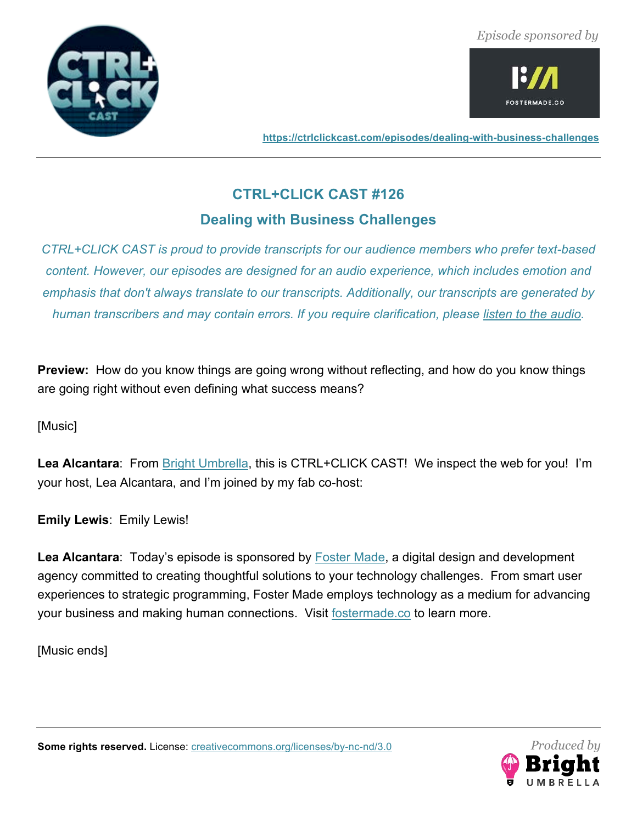



**https://ctrlclickcast.com/episodes/dealing-with-business-challenges**

# **CTRL+CLICK CAST #126**

# **Dealing with Business Challenges**

*CTRL+CLICK CAST is proud to provide transcripts for our audience members who prefer text-based content. However, our episodes are designed for an audio experience, which includes emotion and emphasis that don't always translate to our transcripts. Additionally, our transcripts are generated by human transcribers and may contain errors. If you require clarification, please listen to the audio.*

**Preview:** How do you know things are going wrong without reflecting, and how do you know things are going right without even defining what success means?

[Music]

**Lea Alcantara**: From Bright Umbrella, this is CTRL+CLICK CAST! We inspect the web for you! I'm your host, Lea Alcantara, and I'm joined by my fab co-host:

**Emily Lewis**: Emily Lewis!

**Lea Alcantara**: Today's episode is sponsored by Foster Made, a digital design and development agency committed to creating thoughtful solutions to your technology challenges. From smart user experiences to strategic programming, Foster Made employs technology as a medium for advancing your business and making human connections. Visit fostermade.co to learn more.

[Music ends]

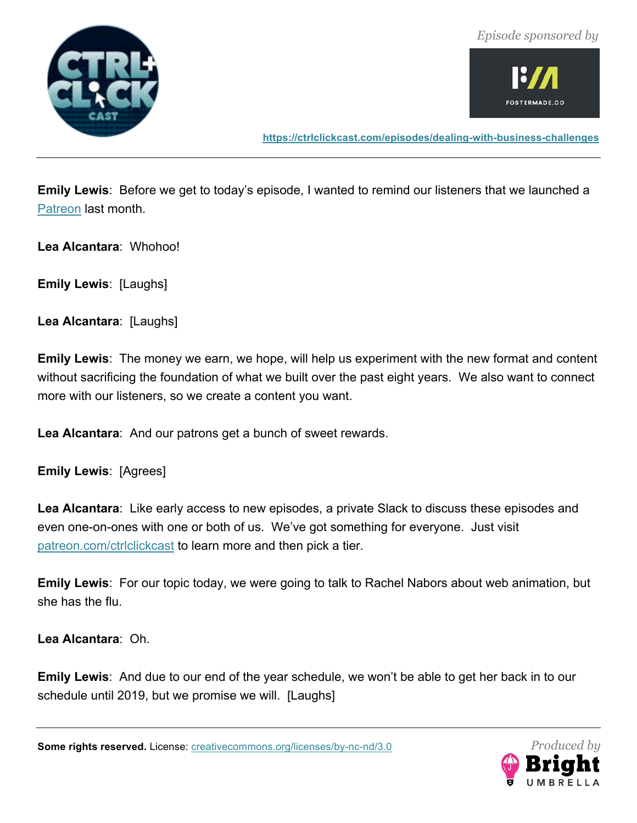



**https://ctrlclickcast.com/episodes/dealing-with-business-challenges**

**Emily Lewis**: Before we get to today's episode, I wanted to remind our listeners that we launched a Patreon last month.

**Lea Alcantara**: Whohoo!

**Emily Lewis**: [Laughs]

**Lea Alcantara**: [Laughs]

**Emily Lewis**: The money we earn, we hope, will help us experiment with the new format and content without sacrificing the foundation of what we built over the past eight years. We also want to connect more with our listeners, so we create a content you want.

**Lea Alcantara**: And our patrons get a bunch of sweet rewards.

**Emily Lewis**: [Agrees]

**Lea Alcantara**: Like early access to new episodes, a private Slack to discuss these episodes and even one-on-ones with one or both of us. We've got something for everyone. Just visit patreon.com/ctrlclickcast to learn more and then pick a tier.

**Emily Lewis**: For our topic today, we were going to talk to Rachel Nabors about web animation, but she has the flu.

**Lea Alcantara**: Oh.

**Emily Lewis**: And due to our end of the year schedule, we won't be able to get her back in to our schedule until 2019, but we promise we will. [Laughs]

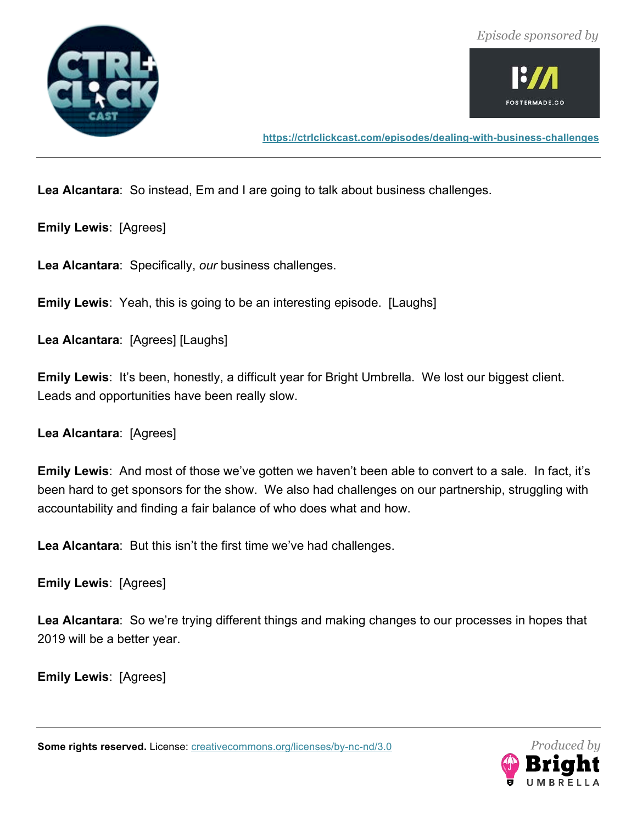



**https://ctrlclickcast.com/episodes/dealing-with-business-challenges**

**Lea Alcantara**: So instead, Em and I are going to talk about business challenges.

**Emily Lewis**: [Agrees]

**Lea Alcantara**: Specifically, *our* business challenges.

**Emily Lewis**: Yeah, this is going to be an interesting episode. [Laughs]

**Lea Alcantara**: [Agrees] [Laughs]

**Emily Lewis**: It's been, honestly, a difficult year for Bright Umbrella. We lost our biggest client. Leads and opportunities have been really slow.

**Lea Alcantara**: [Agrees]

**Emily Lewis**: And most of those we've gotten we haven't been able to convert to a sale. In fact, it's been hard to get sponsors for the show. We also had challenges on our partnership, struggling with accountability and finding a fair balance of who does what and how.

**Lea Alcantara**: But this isn't the first time we've had challenges.

**Emily Lewis**: [Agrees]

**Lea Alcantara**: So we're trying different things and making changes to our processes in hopes that 2019 will be a better year.

**Emily Lewis**: [Agrees]

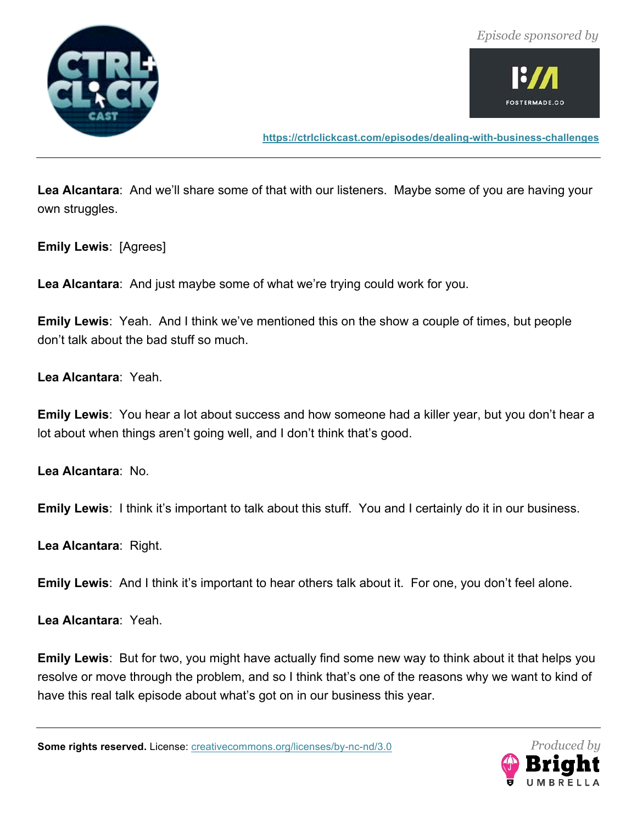



**https://ctrlclickcast.com/episodes/dealing-with-business-challenges**

**Lea Alcantara**: And we'll share some of that with our listeners. Maybe some of you are having your own struggles.

**Emily Lewis**: [Agrees]

**Lea Alcantara**: And just maybe some of what we're trying could work for you.

**Emily Lewis**: Yeah. And I think we've mentioned this on the show a couple of times, but people don't talk about the bad stuff so much.

**Lea Alcantara**: Yeah.

**Emily Lewis**: You hear a lot about success and how someone had a killer year, but you don't hear a lot about when things aren't going well, and I don't think that's good.

**Lea Alcantara**: No.

**Emily Lewis**: I think it's important to talk about this stuff. You and I certainly do it in our business.

**Lea Alcantara**: Right.

**Emily Lewis**: And I think it's important to hear others talk about it. For one, you don't feel alone.

**Lea Alcantara**: Yeah.

**Emily Lewis**: But for two, you might have actually find some new way to think about it that helps you resolve or move through the problem, and so I think that's one of the reasons why we want to kind of have this real talk episode about what's got on in our business this year.

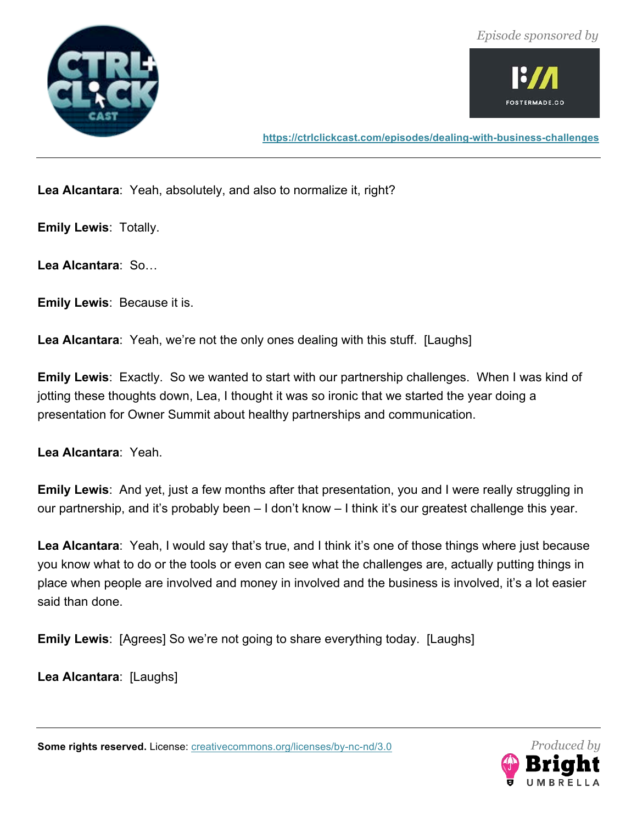



**https://ctrlclickcast.com/episodes/dealing-with-business-challenges**

**Lea Alcantara**: Yeah, absolutely, and also to normalize it, right?

**Emily Lewis**: Totally.

**Lea Alcantara**: So…

**Emily Lewis**: Because it is.

**Lea Alcantara**: Yeah, we're not the only ones dealing with this stuff. [Laughs]

**Emily Lewis**: Exactly. So we wanted to start with our partnership challenges. When I was kind of jotting these thoughts down, Lea, I thought it was so ironic that we started the year doing a presentation for Owner Summit about healthy partnerships and communication.

**Lea Alcantara**: Yeah.

**Emily Lewis**: And yet, just a few months after that presentation, you and I were really struggling in our partnership, and it's probably been – I don't know – I think it's our greatest challenge this year.

**Lea Alcantara**: Yeah, I would say that's true, and I think it's one of those things where just because you know what to do or the tools or even can see what the challenges are, actually putting things in place when people are involved and money in involved and the business is involved, it's a lot easier said than done.

**Emily Lewis**: [Agrees] So we're not going to share everything today. [Laughs]

**Lea Alcantara**: [Laughs]

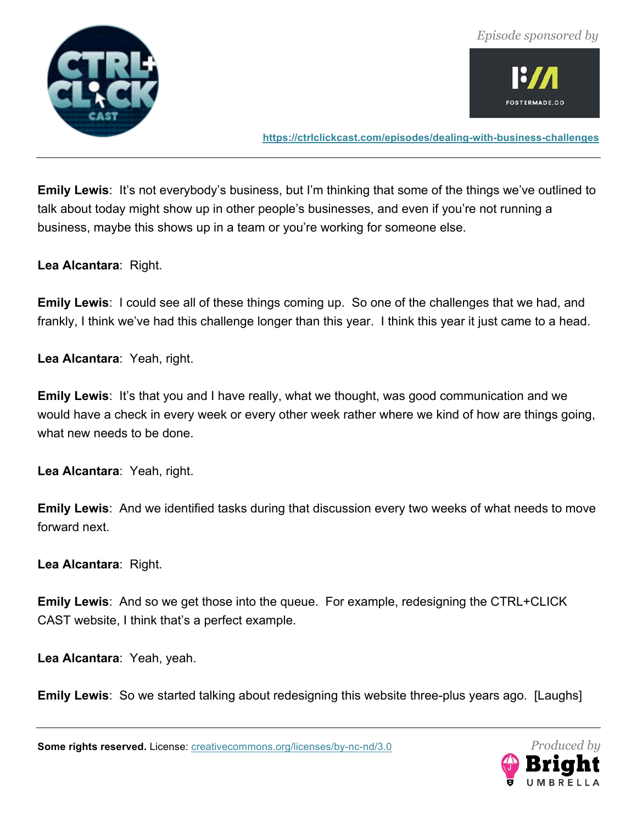



**https://ctrlclickcast.com/episodes/dealing-with-business-challenges**

**Emily Lewis**: It's not everybody's business, but I'm thinking that some of the things we've outlined to talk about today might show up in other people's businesses, and even if you're not running a business, maybe this shows up in a team or you're working for someone else.

**Lea Alcantara**: Right.

**Emily Lewis**: I could see all of these things coming up. So one of the challenges that we had, and frankly, I think we've had this challenge longer than this year. I think this year it just came to a head.

**Lea Alcantara**: Yeah, right.

**Emily Lewis:** It's that you and I have really, what we thought, was good communication and we would have a check in every week or every other week rather where we kind of how are things going, what new needs to be done.

**Lea Alcantara**: Yeah, right.

**Emily Lewis**: And we identified tasks during that discussion every two weeks of what needs to move forward next.

**Lea Alcantara**: Right.

**Emily Lewis**: And so we get those into the queue. For example, redesigning the CTRL+CLICK CAST website, I think that's a perfect example.

**Lea Alcantara**: Yeah, yeah.

**Emily Lewis**: So we started talking about redesigning this website three-plus years ago. [Laughs]

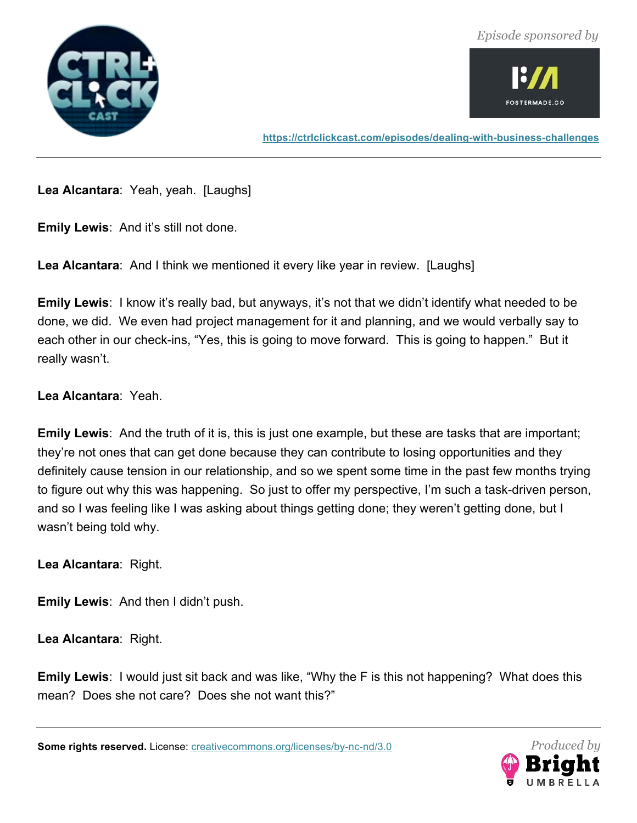



**https://ctrlclickcast.com/episodes/dealing-with-business-challenges**

**Lea Alcantara**: Yeah, yeah. [Laughs]

**Emily Lewis**: And it's still not done.

**Lea Alcantara**: And I think we mentioned it every like year in review. [Laughs]

**Emily Lewis**: I know it's really bad, but anyways, it's not that we didn't identify what needed to be done, we did. We even had project management for it and planning, and we would verbally say to each other in our check-ins, "Yes, this is going to move forward. This is going to happen." But it really wasn't.

# **Lea Alcantara**: Yeah.

**Emily Lewis**: And the truth of it is, this is just one example, but these are tasks that are important; they're not ones that can get done because they can contribute to losing opportunities and they definitely cause tension in our relationship, and so we spent some time in the past few months trying to figure out why this was happening. So just to offer my perspective, I'm such a task-driven person, and so I was feeling like I was asking about things getting done; they weren't getting done, but I wasn't being told why.

**Lea Alcantara**: Right.

**Emily Lewis**: And then I didn't push.

**Lea Alcantara**: Right.

**Emily Lewis**: I would just sit back and was like, "Why the F is this not happening? What does this mean? Does she not care? Does she not want this?"

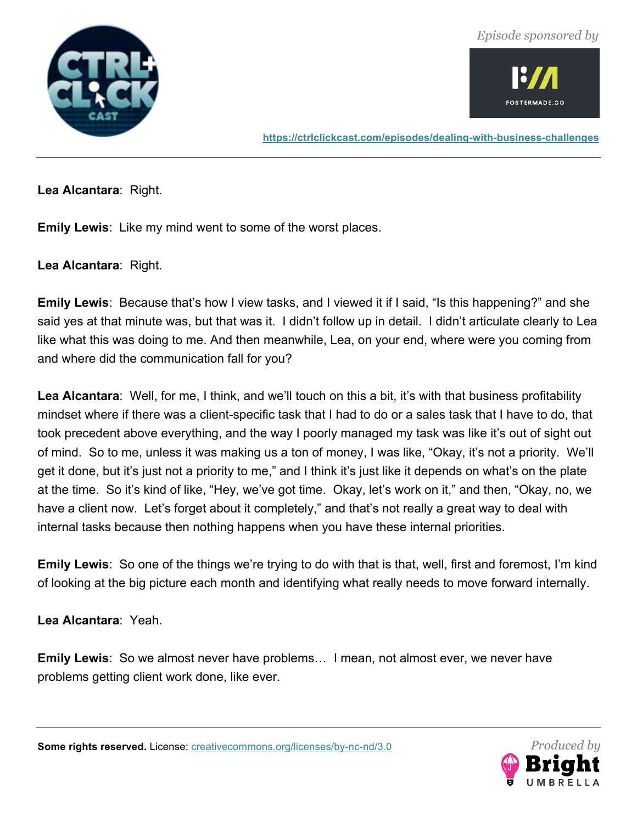



**https://ctrlclickcast.com/episodes/dealing-with-business-challenges**

**Lea Alcantara**: Right.

**Emily Lewis**: Like my mind went to some of the worst places.

**Lea Alcantara**: Right.

**Emily Lewis**: Because that's how I view tasks, and I viewed it if I said, "Is this happening?" and she said yes at that minute was, but that was it. I didn't follow up in detail. I didn't articulate clearly to Lea like what this was doing to me. And then meanwhile, Lea, on your end, where were you coming from and where did the communication fall for you?

**Lea Alcantara**: Well, for me, I think, and we'll touch on this a bit, it's with that business profitability mindset where if there was a client-specific task that I had to do or a sales task that I have to do, that took precedent above everything, and the way I poorly managed my task was like it's out of sight out of mind. So to me, unless it was making us a ton of money, I was like, "Okay, it's not a priority. We'll get it done, but it's just not a priority to me," and I think it's just like it depends on what's on the plate at the time. So it's kind of like, "Hey, we've got time. Okay, let's work on it," and then, "Okay, no, we have a client now. Let's forget about it completely," and that's not really a great way to deal with internal tasks because then nothing happens when you have these internal priorities.

**Emily Lewis**: So one of the things we're trying to do with that is that, well, first and foremost, I'm kind of looking at the big picture each month and identifying what really needs to move forward internally.

**Lea Alcantara**: Yeah.

**Emily Lewis**: So we almost never have problems… I mean, not almost ever, we never have problems getting client work done, like ever.

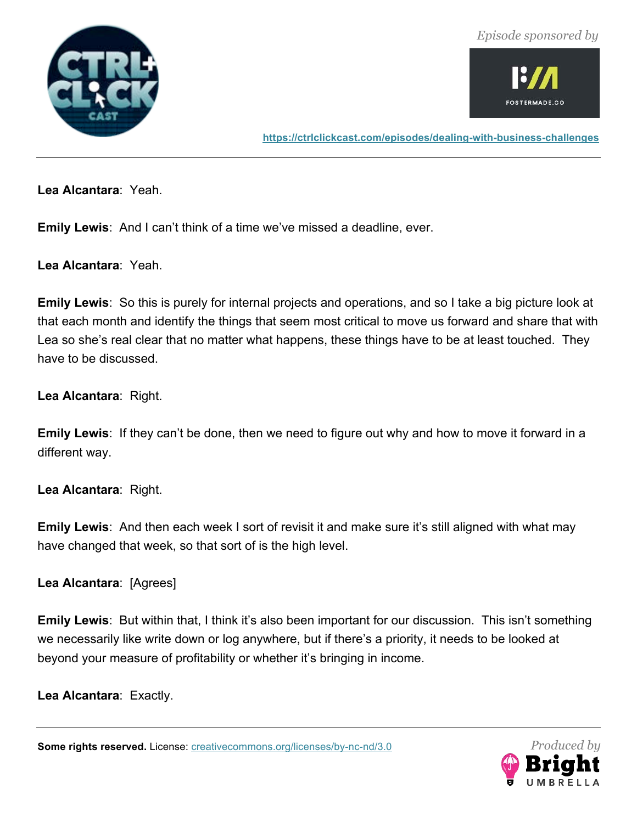



**https://ctrlclickcast.com/episodes/dealing-with-business-challenges**

**Lea Alcantara**: Yeah.

**Emily Lewis**: And I can't think of a time we've missed a deadline, ever.

**Lea Alcantara**: Yeah.

**Emily Lewis**: So this is purely for internal projects and operations, and so I take a big picture look at that each month and identify the things that seem most critical to move us forward and share that with Lea so she's real clear that no matter what happens, these things have to be at least touched. They have to be discussed.

**Lea Alcantara**: Right.

**Emily Lewis**: If they can't be done, then we need to figure out why and how to move it forward in a different way.

**Lea Alcantara**: Right.

**Emily Lewis**: And then each week I sort of revisit it and make sure it's still aligned with what may have changed that week, so that sort of is the high level.

**Lea Alcantara**: [Agrees]

**Emily Lewis**: But within that, I think it's also been important for our discussion. This isn't something we necessarily like write down or log anywhere, but if there's a priority, it needs to be looked at beyond your measure of profitability or whether it's bringing in income.

**Lea Alcantara**: Exactly.

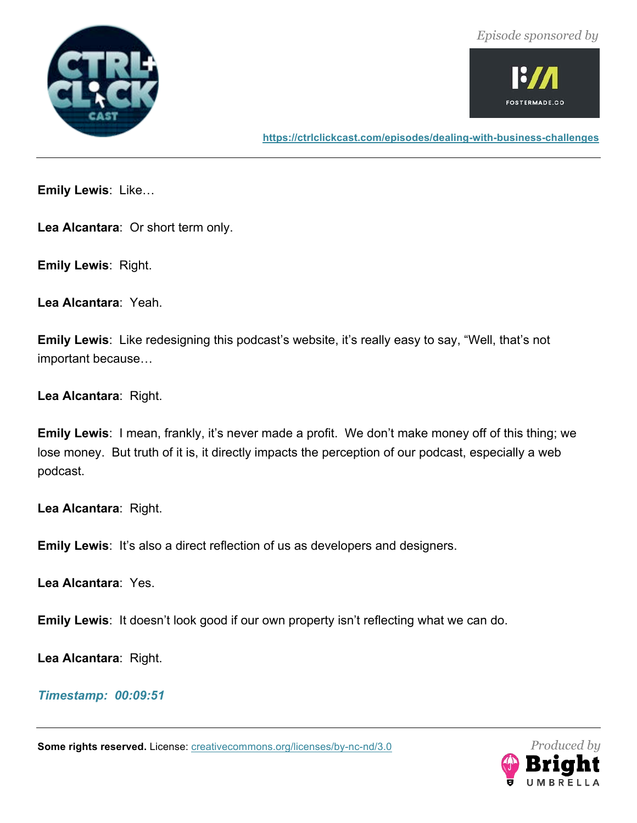



**https://ctrlclickcast.com/episodes/dealing-with-business-challenges**

**Emily Lewis**: Like…

**Lea Alcantara**: Or short term only.

**Emily Lewis**: Right.

**Lea Alcantara**: Yeah.

**Emily Lewis**: Like redesigning this podcast's website, it's really easy to say, "Well, that's not important because…

**Lea Alcantara**: Right.

**Emily Lewis**: I mean, frankly, it's never made a profit. We don't make money off of this thing; we lose money. But truth of it is, it directly impacts the perception of our podcast, especially a web podcast.

**Lea Alcantara**: Right.

**Emily Lewis**: It's also a direct reflection of us as developers and designers.

**Lea Alcantara**: Yes.

**Emily Lewis**: It doesn't look good if our own property isn't reflecting what we can do.

**Lea Alcantara**: Right.

*Timestamp: 00:09:51*

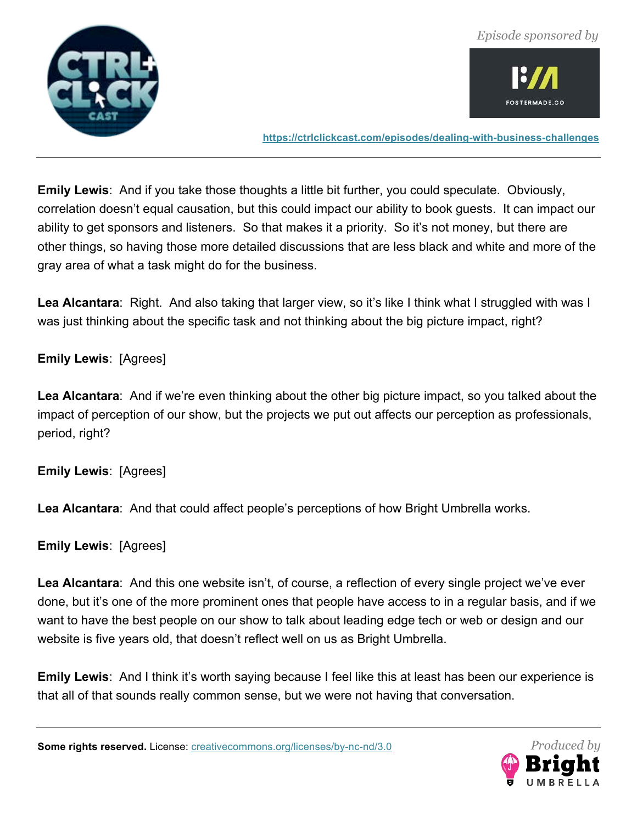



**https://ctrlclickcast.com/episodes/dealing-with-business-challenges**

**Emily Lewis**: And if you take those thoughts a little bit further, you could speculate. Obviously, correlation doesn't equal causation, but this could impact our ability to book guests. It can impact our ability to get sponsors and listeners. So that makes it a priority. So it's not money, but there are other things, so having those more detailed discussions that are less black and white and more of the gray area of what a task might do for the business.

**Lea Alcantara**: Right. And also taking that larger view, so it's like I think what I struggled with was I was just thinking about the specific task and not thinking about the big picture impact, right?

### **Emily Lewis**: [Agrees]

**Lea Alcantara**: And if we're even thinking about the other big picture impact, so you talked about the impact of perception of our show, but the projects we put out affects our perception as professionals, period, right?

**Emily Lewis**: [Agrees]

**Lea Alcantara**: And that could affect people's perceptions of how Bright Umbrella works.

**Emily Lewis**: [Agrees]

**Lea Alcantara**: And this one website isn't, of course, a reflection of every single project we've ever done, but it's one of the more prominent ones that people have access to in a regular basis, and if we want to have the best people on our show to talk about leading edge tech or web or design and our website is five years old, that doesn't reflect well on us as Bright Umbrella.

**Emily Lewis**: And I think it's worth saying because I feel like this at least has been our experience is that all of that sounds really common sense, but we were not having that conversation.

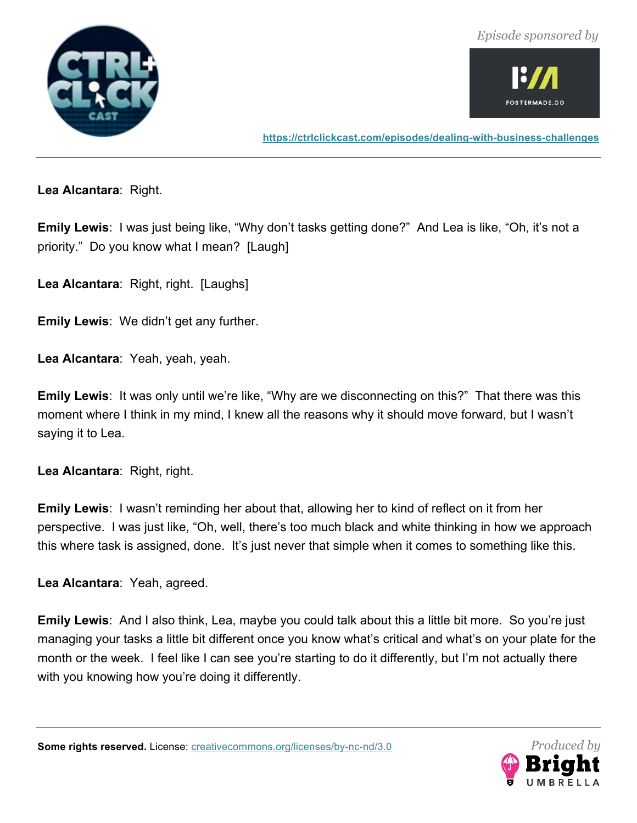



**https://ctrlclickcast.com/episodes/dealing-with-business-challenges**

**Lea Alcantara**: Right.

**Emily Lewis**: I was just being like, "Why don't tasks getting done?" And Lea is like, "Oh, it's not a priority." Do you know what I mean? [Laugh]

**Lea Alcantara**: Right, right. [Laughs]

**Emily Lewis**: We didn't get any further.

**Lea Alcantara**: Yeah, yeah, yeah.

**Emily Lewis**: It was only until we're like, "Why are we disconnecting on this?" That there was this moment where I think in my mind, I knew all the reasons why it should move forward, but I wasn't saying it to Lea.

**Lea Alcantara**: Right, right.

**Emily Lewis**: I wasn't reminding her about that, allowing her to kind of reflect on it from her perspective. I was just like, "Oh, well, there's too much black and white thinking in how we approach this where task is assigned, done. It's just never that simple when it comes to something like this.

**Lea Alcantara**: Yeah, agreed.

**Emily Lewis**: And I also think, Lea, maybe you could talk about this a little bit more. So you're just managing your tasks a little bit different once you know what's critical and what's on your plate for the month or the week. I feel like I can see you're starting to do it differently, but I'm not actually there with you knowing how you're doing it differently.

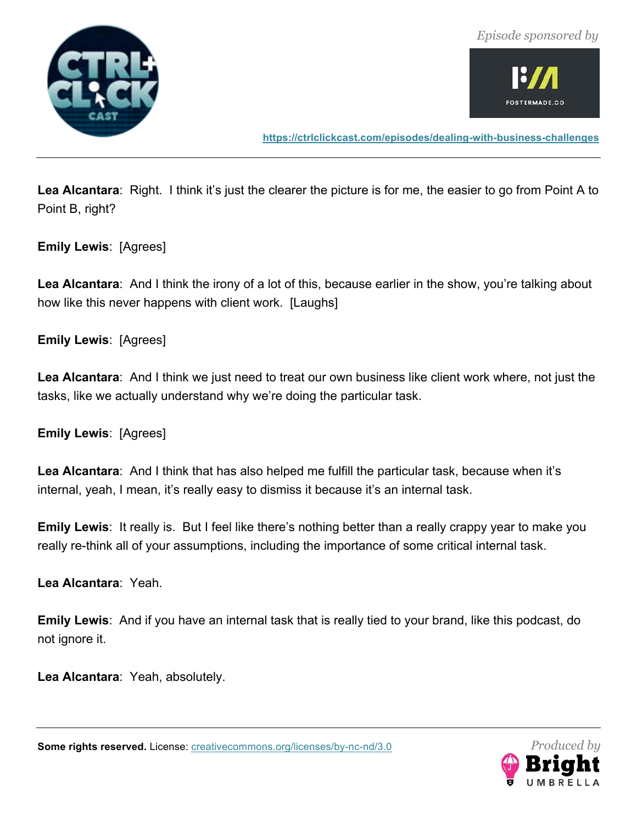



**https://ctrlclickcast.com/episodes/dealing-with-business-challenges**

**Lea Alcantara**: Right. I think it's just the clearer the picture is for me, the easier to go from Point A to Point B, right?

**Emily Lewis**: [Agrees]

**Lea Alcantara**: And I think the irony of a lot of this, because earlier in the show, you're talking about how like this never happens with client work. [Laughs]

**Emily Lewis**: [Agrees]

**Lea Alcantara**: And I think we just need to treat our own business like client work where, not just the tasks, like we actually understand why we're doing the particular task.

**Emily Lewis**: [Agrees]

**Lea Alcantara**: And I think that has also helped me fulfill the particular task, because when it's internal, yeah, I mean, it's really easy to dismiss it because it's an internal task.

**Emily Lewis**: It really is. But I feel like there's nothing better than a really crappy year to make you really re-think all of your assumptions, including the importance of some critical internal task.

**Lea Alcantara**: Yeah.

**Emily Lewis**: And if you have an internal task that is really tied to your brand, like this podcast, do not ignore it.

**Lea Alcantara**: Yeah, absolutely.

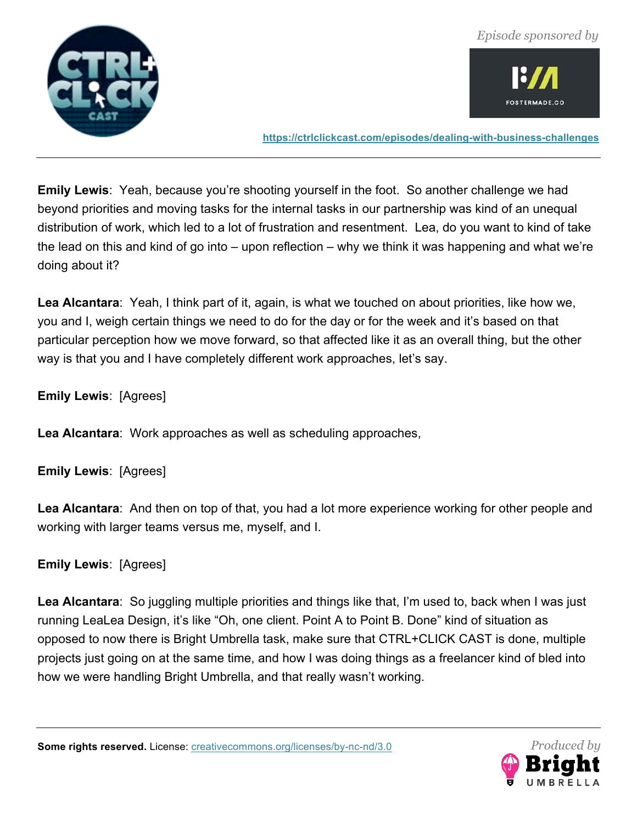



**https://ctrlclickcast.com/episodes/dealing-with-business-challenges**

**Emily Lewis**: Yeah, because you're shooting yourself in the foot. So another challenge we had beyond priorities and moving tasks for the internal tasks in our partnership was kind of an unequal distribution of work, which led to a lot of frustration and resentment. Lea, do you want to kind of take the lead on this and kind of go into – upon reflection – why we think it was happening and what we're doing about it?

**Lea Alcantara**: Yeah, I think part of it, again, is what we touched on about priorities, like how we, you and I, weigh certain things we need to do for the day or for the week and it's based on that particular perception how we move forward, so that affected like it as an overall thing, but the other way is that you and I have completely different work approaches, let's say.

**Emily Lewis**: [Agrees]

**Lea Alcantara**: Work approaches as well as scheduling approaches,

**Emily Lewis**: [Agrees]

**Lea Alcantara**: And then on top of that, you had a lot more experience working for other people and working with larger teams versus me, myself, and I.

**Emily Lewis**: [Agrees]

**Lea Alcantara**: So juggling multiple priorities and things like that, I'm used to, back when I was just running LeaLea Design, it's like "Oh, one client. Point A to Point B. Done" kind of situation as opposed to now there is Bright Umbrella task, make sure that CTRL+CLICK CAST is done, multiple projects just going on at the same time, and how I was doing things as a freelancer kind of bled into how we were handling Bright Umbrella, and that really wasn't working.

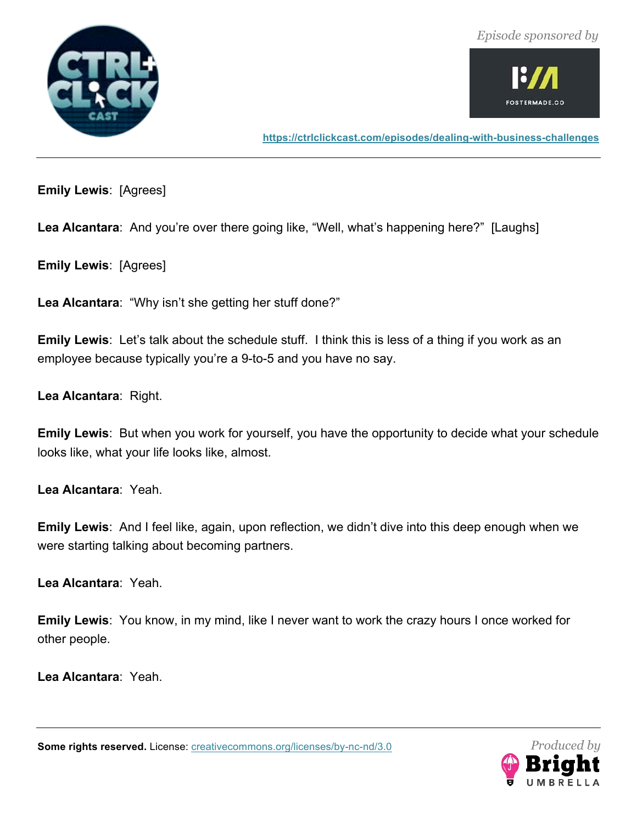



**https://ctrlclickcast.com/episodes/dealing-with-business-challenges**

**Emily Lewis**: [Agrees]

Lea Alcantara: And you're over there going like, "Well, what's happening here?" [Laughs]

**Emily Lewis**: [Agrees]

**Lea Alcantara**: "Why isn't she getting her stuff done?"

**Emily Lewis**: Let's talk about the schedule stuff. I think this is less of a thing if you work as an employee because typically you're a 9-to-5 and you have no say.

**Lea Alcantara**: Right.

**Emily Lewis**: But when you work for yourself, you have the opportunity to decide what your schedule looks like, what your life looks like, almost.

**Lea Alcantara**: Yeah.

**Emily Lewis**: And I feel like, again, upon reflection, we didn't dive into this deep enough when we were starting talking about becoming partners.

**Lea Alcantara**: Yeah.

**Emily Lewis**: You know, in my mind, like I never want to work the crazy hours I once worked for other people.

**Lea Alcantara**: Yeah.

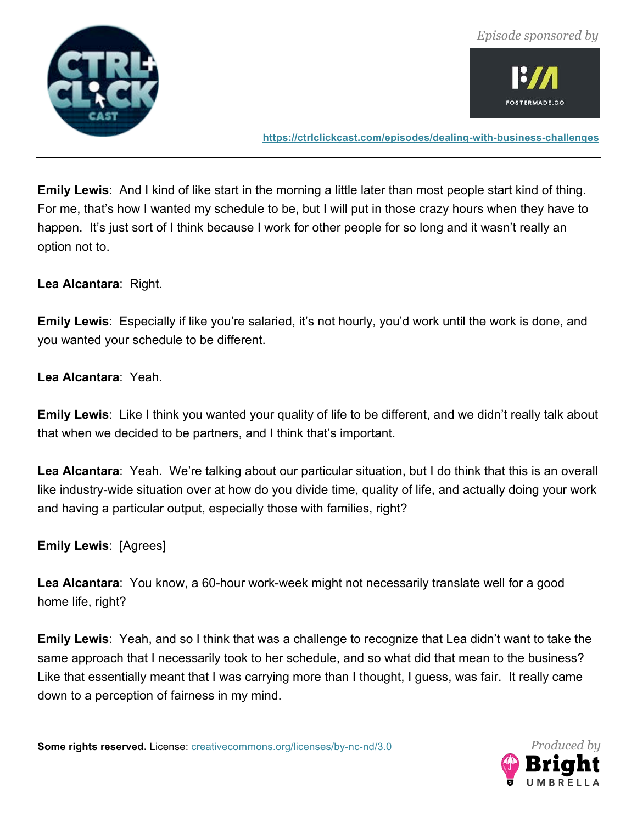



**https://ctrlclickcast.com/episodes/dealing-with-business-challenges**

**Emily Lewis**: And I kind of like start in the morning a little later than most people start kind of thing. For me, that's how I wanted my schedule to be, but I will put in those crazy hours when they have to happen. It's just sort of I think because I work for other people for so long and it wasn't really an option not to.

**Lea Alcantara**: Right.

**Emily Lewis**: Especially if like you're salaried, it's not hourly, you'd work until the work is done, and you wanted your schedule to be different.

**Lea Alcantara**: Yeah.

**Emily Lewis**: Like I think you wanted your quality of life to be different, and we didn't really talk about that when we decided to be partners, and I think that's important.

**Lea Alcantara**: Yeah. We're talking about our particular situation, but I do think that this is an overall like industry-wide situation over at how do you divide time, quality of life, and actually doing your work and having a particular output, especially those with families, right?

**Emily Lewis**: [Agrees]

**Lea Alcantara**: You know, a 60-hour work-week might not necessarily translate well for a good home life, right?

**Emily Lewis**: Yeah, and so I think that was a challenge to recognize that Lea didn't want to take the same approach that I necessarily took to her schedule, and so what did that mean to the business? Like that essentially meant that I was carrying more than I thought, I guess, was fair. It really came down to a perception of fairness in my mind.

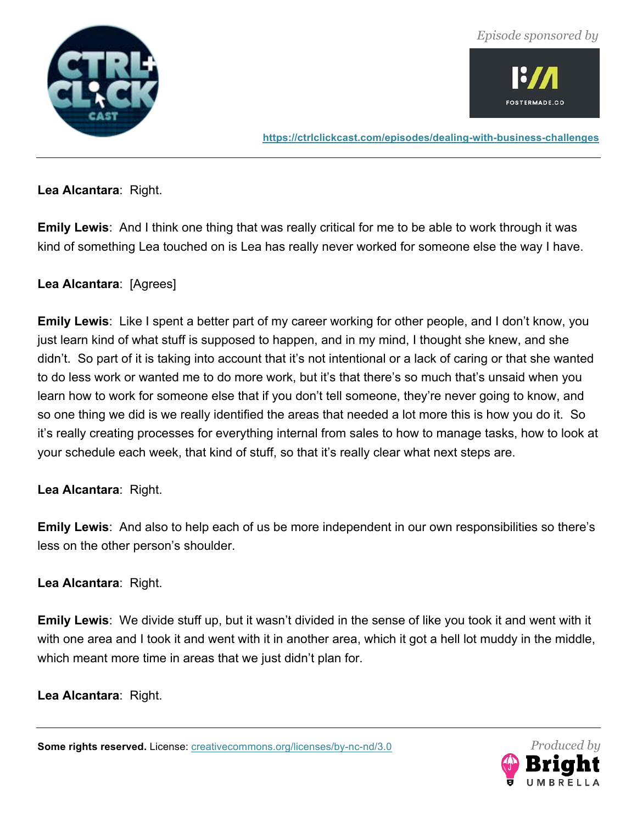



**https://ctrlclickcast.com/episodes/dealing-with-business-challenges**

**Lea Alcantara**: Right.

**Emily Lewis**: And I think one thing that was really critical for me to be able to work through it was kind of something Lea touched on is Lea has really never worked for someone else the way I have.

# **Lea Alcantara**: [Agrees]

**Emily Lewis**: Like I spent a better part of my career working for other people, and I don't know, you just learn kind of what stuff is supposed to happen, and in my mind, I thought she knew, and she didn't. So part of it is taking into account that it's not intentional or a lack of caring or that she wanted to do less work or wanted me to do more work, but it's that there's so much that's unsaid when you learn how to work for someone else that if you don't tell someone, they're never going to know, and so one thing we did is we really identified the areas that needed a lot more this is how you do it. So it's really creating processes for everything internal from sales to how to manage tasks, how to look at your schedule each week, that kind of stuff, so that it's really clear what next steps are.

### **Lea Alcantara**: Right.

**Emily Lewis**: And also to help each of us be more independent in our own responsibilities so there's less on the other person's shoulder.

**Lea Alcantara**: Right.

**Emily Lewis**: We divide stuff up, but it wasn't divided in the sense of like you took it and went with it with one area and I took it and went with it in another area, which it got a hell lot muddy in the middle, which meant more time in areas that we just didn't plan for.

**Lea Alcantara**: Right.

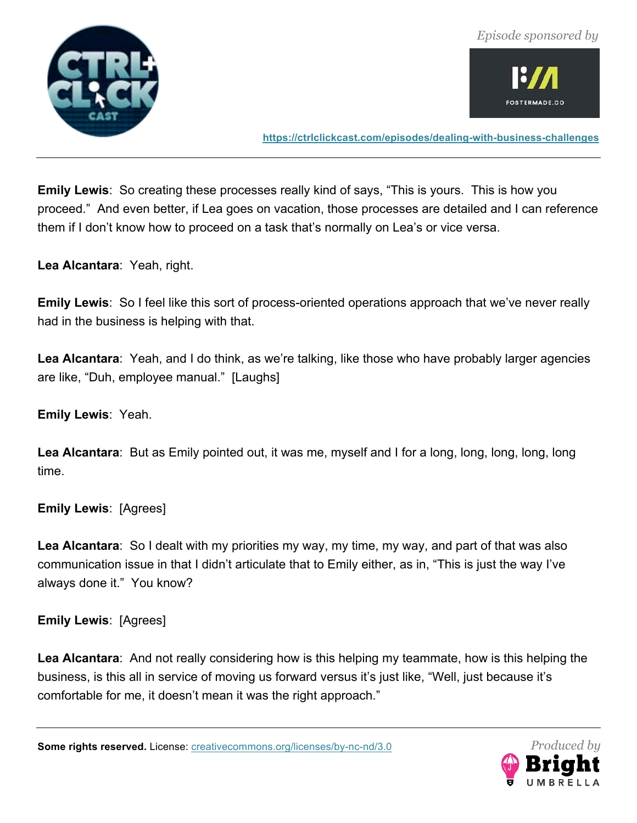



**https://ctrlclickcast.com/episodes/dealing-with-business-challenges**

**Emily Lewis**: So creating these processes really kind of says, "This is yours. This is how you proceed." And even better, if Lea goes on vacation, those processes are detailed and I can reference them if I don't know how to proceed on a task that's normally on Lea's or vice versa.

**Lea Alcantara**: Yeah, right.

**Emily Lewis**: So I feel like this sort of process-oriented operations approach that we've never really had in the business is helping with that.

**Lea Alcantara**: Yeah, and I do think, as we're talking, like those who have probably larger agencies are like, "Duh, employee manual." [Laughs]

**Emily Lewis**: Yeah.

**Lea Alcantara**: But as Emily pointed out, it was me, myself and I for a long, long, long, long, long time.

**Emily Lewis**: [Agrees]

**Lea Alcantara**: So I dealt with my priorities my way, my time, my way, and part of that was also communication issue in that I didn't articulate that to Emily either, as in, "This is just the way I've always done it." You know?

**Emily Lewis**: [Agrees]

**Lea Alcantara**: And not really considering how is this helping my teammate, how is this helping the business, is this all in service of moving us forward versus it's just like, "Well, just because it's comfortable for me, it doesn't mean it was the right approach."

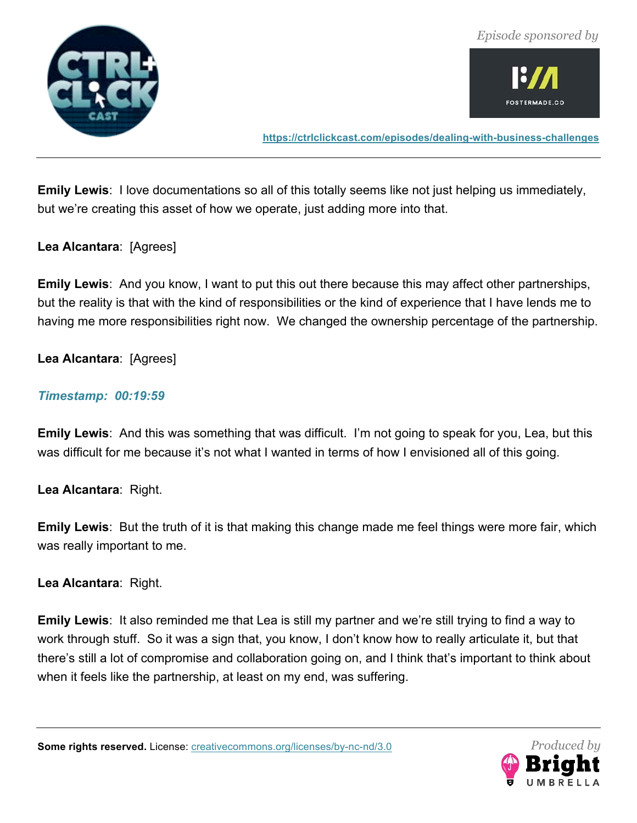



**https://ctrlclickcast.com/episodes/dealing-with-business-challenges**

**Emily Lewis**: I love documentations so all of this totally seems like not just helping us immediately, but we're creating this asset of how we operate, just adding more into that.

#### **Lea Alcantara**: [Agrees]

**Emily Lewis**: And you know, I want to put this out there because this may affect other partnerships, but the reality is that with the kind of responsibilities or the kind of experience that I have lends me to having me more responsibilities right now. We changed the ownership percentage of the partnership.

### **Lea Alcantara**: [Agrees]

#### *Timestamp: 00:19:59*

**Emily Lewis**: And this was something that was difficult. I'm not going to speak for you, Lea, but this was difficult for me because it's not what I wanted in terms of how I envisioned all of this going.

**Lea Alcantara**: Right.

**Emily Lewis**: But the truth of it is that making this change made me feel things were more fair, which was really important to me.

**Lea Alcantara**: Right.

**Emily Lewis**: It also reminded me that Lea is still my partner and we're still trying to find a way to work through stuff. So it was a sign that, you know, I don't know how to really articulate it, but that there's still a lot of compromise and collaboration going on, and I think that's important to think about when it feels like the partnership, at least on my end, was suffering.

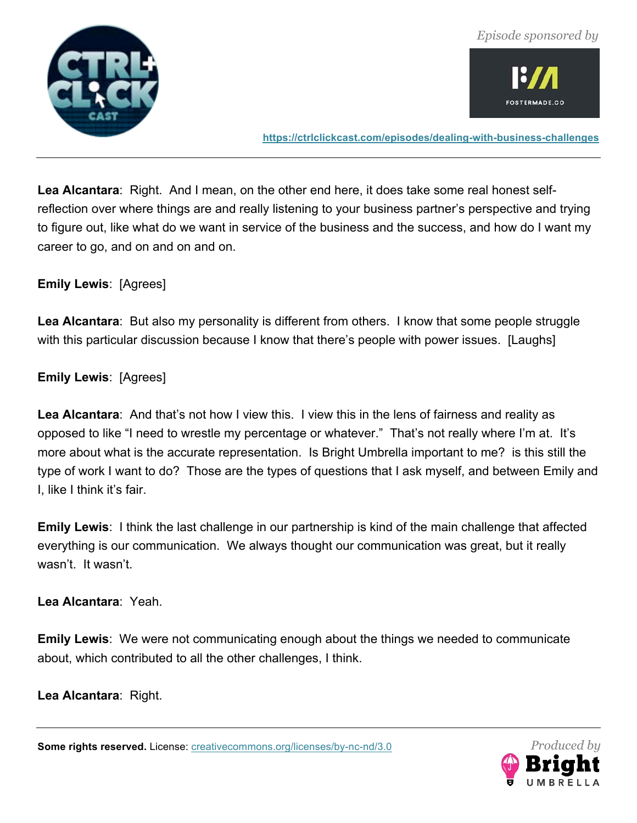



**https://ctrlclickcast.com/episodes/dealing-with-business-challenges**

**Lea Alcantara**: Right. And I mean, on the other end here, it does take some real honest selfreflection over where things are and really listening to your business partner's perspective and trying to figure out, like what do we want in service of the business and the success, and how do I want my career to go, and on and on and on.

**Emily Lewis**: [Agrees]

**Lea Alcantara**: But also my personality is different from others. I know that some people struggle with this particular discussion because I know that there's people with power issues. [Laughs]

**Emily Lewis**: [Agrees]

**Lea Alcantara**: And that's not how I view this. I view this in the lens of fairness and reality as opposed to like "I need to wrestle my percentage or whatever." That's not really where I'm at. It's more about what is the accurate representation. Is Bright Umbrella important to me? is this still the type of work I want to do? Those are the types of questions that I ask myself, and between Emily and I, like I think it's fair.

**Emily Lewis**: I think the last challenge in our partnership is kind of the main challenge that affected everything is our communication. We always thought our communication was great, but it really wasn't. It wasn't.

**Lea Alcantara**: Yeah.

**Emily Lewis**: We were not communicating enough about the things we needed to communicate about, which contributed to all the other challenges, I think.

**Lea Alcantara**: Right.

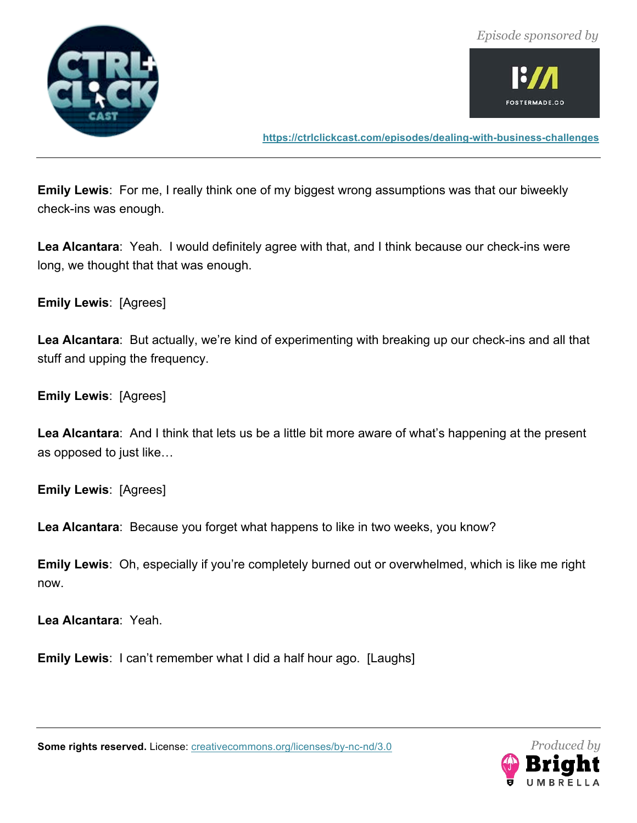



**https://ctrlclickcast.com/episodes/dealing-with-business-challenges**

**Emily Lewis**: For me, I really think one of my biggest wrong assumptions was that our biweekly check-ins was enough.

**Lea Alcantara**: Yeah. I would definitely agree with that, and I think because our check-ins were long, we thought that that was enough.

**Emily Lewis**: [Agrees]

**Lea Alcantara**: But actually, we're kind of experimenting with breaking up our check-ins and all that stuff and upping the frequency.

**Emily Lewis**: [Agrees]

**Lea Alcantara**: And I think that lets us be a little bit more aware of what's happening at the present as opposed to just like…

**Emily Lewis**: [Agrees]

**Lea Alcantara**: Because you forget what happens to like in two weeks, you know?

**Emily Lewis**: Oh, especially if you're completely burned out or overwhelmed, which is like me right now.

**Lea Alcantara**: Yeah.

**Emily Lewis**: I can't remember what I did a half hour ago. [Laughs]

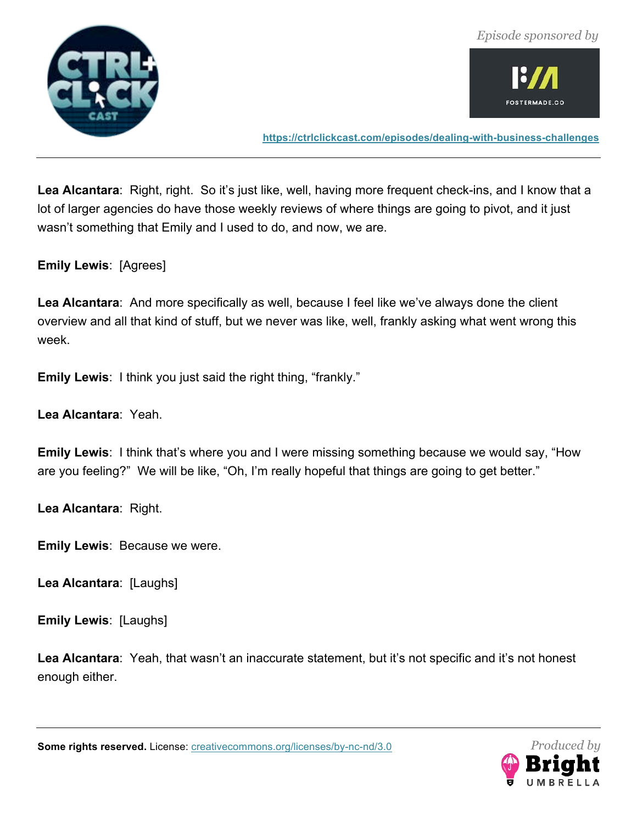



**https://ctrlclickcast.com/episodes/dealing-with-business-challenges**

**Lea Alcantara**: Right, right. So it's just like, well, having more frequent check-ins, and I know that a lot of larger agencies do have those weekly reviews of where things are going to pivot, and it just wasn't something that Emily and I used to do, and now, we are.

**Emily Lewis**: [Agrees]

**Lea Alcantara**: And more specifically as well, because I feel like we've always done the client overview and all that kind of stuff, but we never was like, well, frankly asking what went wrong this week.

**Emily Lewis**: I think you just said the right thing, "frankly."

**Lea Alcantara**: Yeah.

**Emily Lewis**: I think that's where you and I were missing something because we would say, "How are you feeling?" We will be like, "Oh, I'm really hopeful that things are going to get better."

**Lea Alcantara**: Right.

**Emily Lewis**: Because we were.

**Lea Alcantara**: [Laughs]

**Emily Lewis**: [Laughs]

**Lea Alcantara**: Yeah, that wasn't an inaccurate statement, but it's not specific and it's not honest enough either.

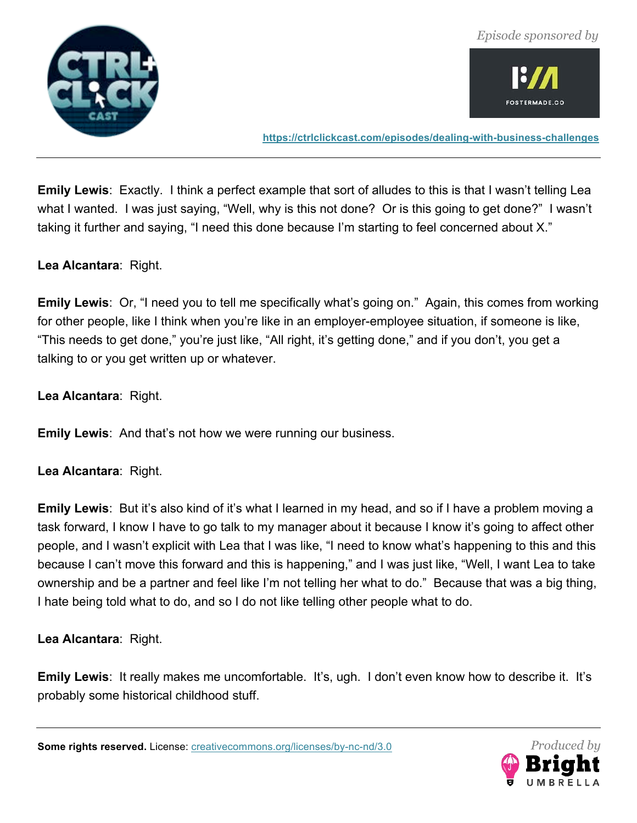



**https://ctrlclickcast.com/episodes/dealing-with-business-challenges**

**Emily Lewis**: Exactly. I think a perfect example that sort of alludes to this is that I wasn't telling Lea what I wanted. I was just saying, "Well, why is this not done? Or is this going to get done?" I wasn't taking it further and saying, "I need this done because I'm starting to feel concerned about X."

**Lea Alcantara**: Right.

**Emily Lewis**: Or, "I need you to tell me specifically what's going on." Again, this comes from working for other people, like I think when you're like in an employer-employee situation, if someone is like, "This needs to get done," you're just like, "All right, it's getting done," and if you don't, you get a talking to or you get written up or whatever.

**Lea Alcantara**: Right.

**Emily Lewis**: And that's not how we were running our business.

**Lea Alcantara**: Right.

**Emily Lewis**: But it's also kind of it's what I learned in my head, and so if I have a problem moving a task forward, I know I have to go talk to my manager about it because I know it's going to affect other people, and I wasn't explicit with Lea that I was like, "I need to know what's happening to this and this because I can't move this forward and this is happening," and I was just like, "Well, I want Lea to take ownership and be a partner and feel like I'm not telling her what to do." Because that was a big thing, I hate being told what to do, and so I do not like telling other people what to do.

**Lea Alcantara**: Right.

**Emily Lewis**: It really makes me uncomfortable. It's, ugh. I don't even know how to describe it. It's probably some historical childhood stuff.

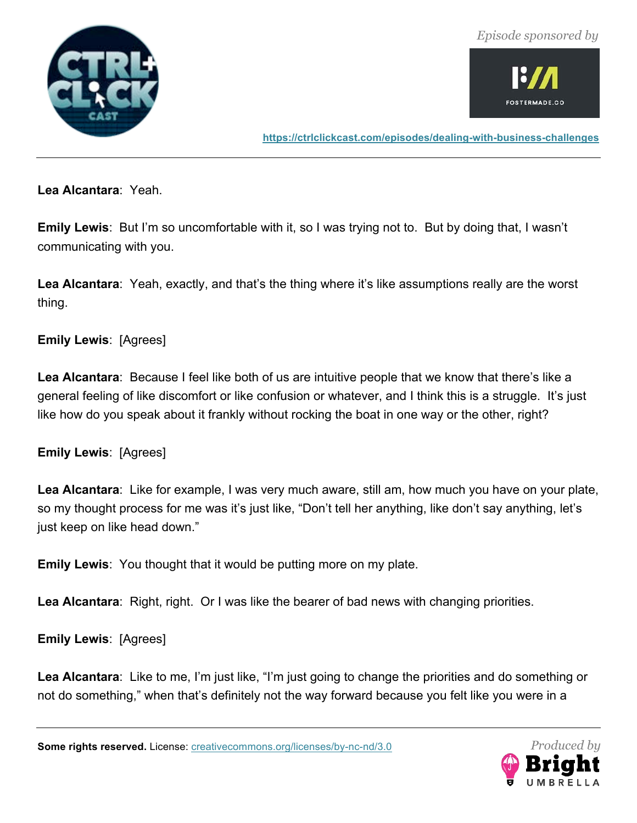



**https://ctrlclickcast.com/episodes/dealing-with-business-challenges**

**Lea Alcantara**: Yeah.

**Emily Lewis**: But I'm so uncomfortable with it, so I was trying not to. But by doing that, I wasn't communicating with you.

**Lea Alcantara**: Yeah, exactly, and that's the thing where it's like assumptions really are the worst thing.

#### **Emily Lewis**: [Agrees]

**Lea Alcantara**: Because I feel like both of us are intuitive people that we know that there's like a general feeling of like discomfort or like confusion or whatever, and I think this is a struggle. It's just like how do you speak about it frankly without rocking the boat in one way or the other, right?

**Emily Lewis**: [Agrees]

**Lea Alcantara**: Like for example, I was very much aware, still am, how much you have on your plate, so my thought process for me was it's just like, "Don't tell her anything, like don't say anything, let's just keep on like head down."

**Emily Lewis**: You thought that it would be putting more on my plate.

**Lea Alcantara**: Right, right. Or I was like the bearer of bad news with changing priorities.

**Emily Lewis**: [Agrees]

**Lea Alcantara**: Like to me, I'm just like, "I'm just going to change the priorities and do something or not do something," when that's definitely not the way forward because you felt like you were in a

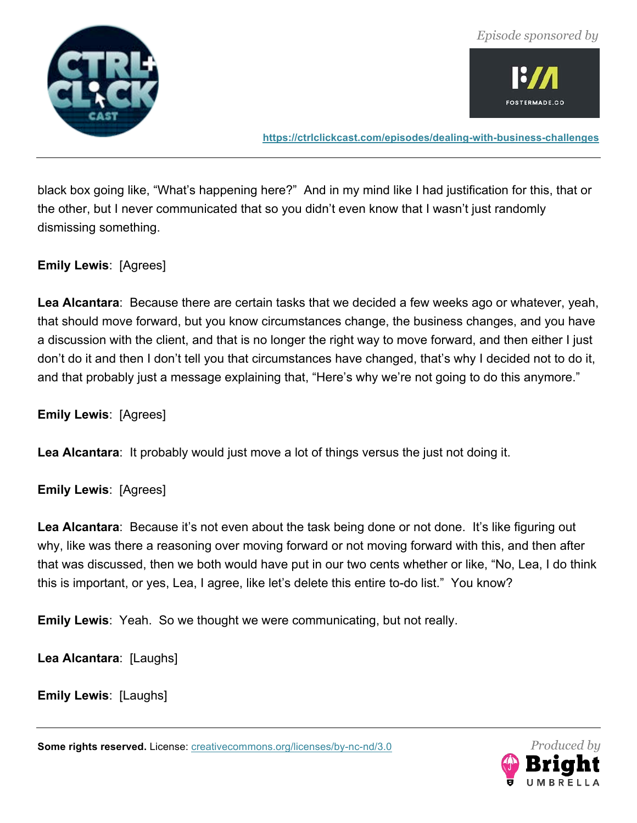

**https://ctrlclickcast.com/episodes/dealing-with-business-challenges**

black box going like, "What's happening here?" And in my mind like I had justification for this, that or the other, but I never communicated that so you didn't even know that I wasn't just randomly dismissing something.

**Emily Lewis**: [Agrees]

**Lea Alcantara**: Because there are certain tasks that we decided a few weeks ago or whatever, yeah, that should move forward, but you know circumstances change, the business changes, and you have a discussion with the client, and that is no longer the right way to move forward, and then either I just don't do it and then I don't tell you that circumstances have changed, that's why I decided not to do it, and that probably just a message explaining that, "Here's why we're not going to do this anymore."

**Emily Lewis**: [Agrees]

**Lea Alcantara**: It probably would just move a lot of things versus the just not doing it.

**Emily Lewis**: [Agrees]

**Lea Alcantara**: Because it's not even about the task being done or not done. It's like figuring out why, like was there a reasoning over moving forward or not moving forward with this, and then after that was discussed, then we both would have put in our two cents whether or like, "No, Lea, I do think this is important, or yes, Lea, I agree, like let's delete this entire to-do list." You know?

**Emily Lewis**: Yeah. So we thought we were communicating, but not really.

**Lea Alcantara**: [Laughs]

**Emily Lewis**: [Laughs]

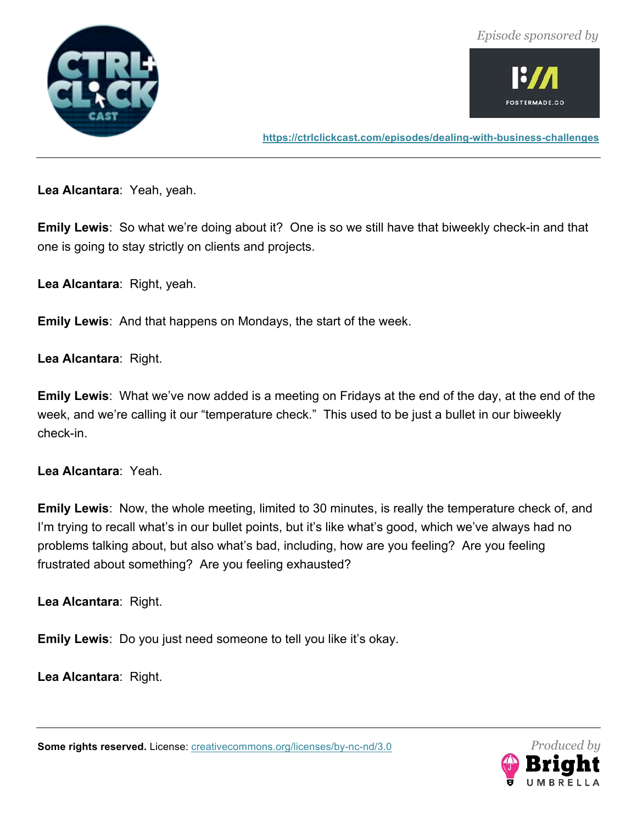



**https://ctrlclickcast.com/episodes/dealing-with-business-challenges**

**Lea Alcantara**: Yeah, yeah.

**Emily Lewis**: So what we're doing about it? One is so we still have that biweekly check-in and that one is going to stay strictly on clients and projects.

**Lea Alcantara**: Right, yeah.

**Emily Lewis**: And that happens on Mondays, the start of the week.

**Lea Alcantara**: Right.

**Emily Lewis**: What we've now added is a meeting on Fridays at the end of the day, at the end of the week, and we're calling it our "temperature check." This used to be just a bullet in our biweekly check-in.

**Lea Alcantara**: Yeah.

**Emily Lewis**: Now, the whole meeting, limited to 30 minutes, is really the temperature check of, and I'm trying to recall what's in our bullet points, but it's like what's good, which we've always had no problems talking about, but also what's bad, including, how are you feeling? Are you feeling frustrated about something? Are you feeling exhausted?

**Lea Alcantara**: Right.

**Emily Lewis**: Do you just need someone to tell you like it's okay.

**Lea Alcantara**: Right.

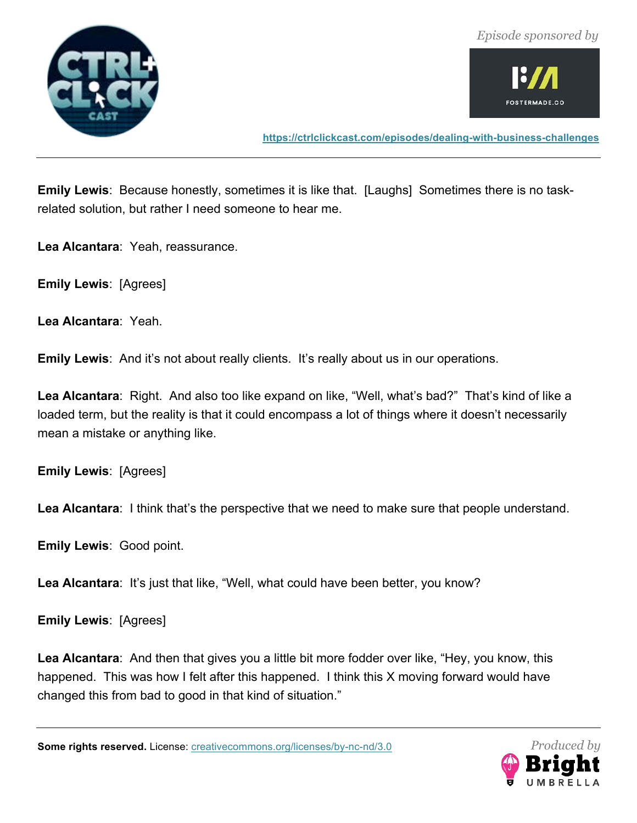





**https://ctrlclickcast.com/episodes/dealing-with-business-challenges**

**Emily Lewis**: Because honestly, sometimes it is like that. [Laughs] Sometimes there is no taskrelated solution, but rather I need someone to hear me.

**Lea Alcantara**: Yeah, reassurance.

**Emily Lewis**: [Agrees]

**Lea Alcantara**: Yeah.

**Emily Lewis**: And it's not about really clients. It's really about us in our operations.

**Lea Alcantara**: Right. And also too like expand on like, "Well, what's bad?" That's kind of like a loaded term, but the reality is that it could encompass a lot of things where it doesn't necessarily mean a mistake or anything like.

**Emily Lewis**: [Agrees]

Lea Alcantara: I think that's the perspective that we need to make sure that people understand.

**Emily Lewis**: Good point.

Lea Alcantara: It's just that like, "Well, what could have been better, you know?

**Emily Lewis**: [Agrees]

**Lea Alcantara**: And then that gives you a little bit more fodder over like, "Hey, you know, this happened. This was how I felt after this happened. I think this X moving forward would have changed this from bad to good in that kind of situation."

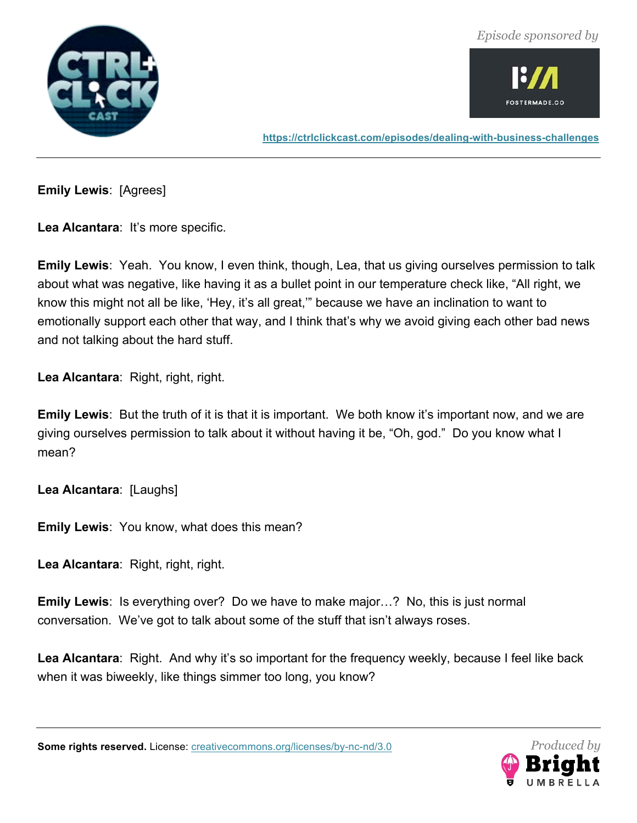



**https://ctrlclickcast.com/episodes/dealing-with-business-challenges**

**Emily Lewis**: [Agrees]

Lea Alcantara: It's more specific.

**Emily Lewis**: Yeah. You know, I even think, though, Lea, that us giving ourselves permission to talk about what was negative, like having it as a bullet point in our temperature check like, "All right, we know this might not all be like, 'Hey, it's all great,'" because we have an inclination to want to emotionally support each other that way, and I think that's why we avoid giving each other bad news and not talking about the hard stuff.

**Lea Alcantara**: Right, right, right.

**Emily Lewis**: But the truth of it is that it is important. We both know it's important now, and we are giving ourselves permission to talk about it without having it be, "Oh, god." Do you know what I mean?

**Lea Alcantara**: [Laughs]

**Emily Lewis**: You know, what does this mean?

**Lea Alcantara**: Right, right, right.

**Emily Lewis**: Is everything over? Do we have to make major…? No, this is just normal conversation. We've got to talk about some of the stuff that isn't always roses.

**Lea Alcantara**: Right. And why it's so important for the frequency weekly, because I feel like back when it was biweekly, like things simmer too long, you know?

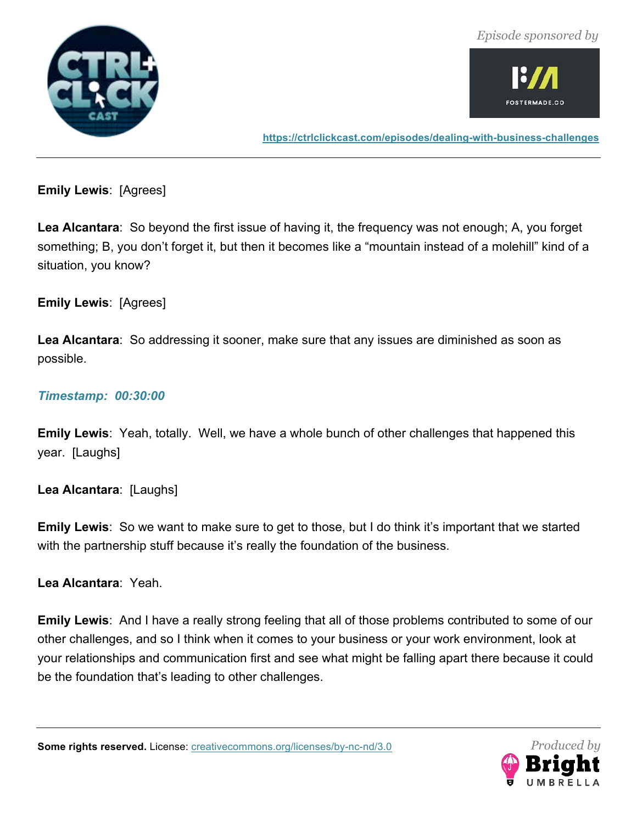



**https://ctrlclickcast.com/episodes/dealing-with-business-challenges**

**Emily Lewis**: [Agrees]

**Lea Alcantara**: So beyond the first issue of having it, the frequency was not enough; A, you forget something; B, you don't forget it, but then it becomes like a "mountain instead of a molehill" kind of a situation, you know?

# **Emily Lewis**: [Agrees]

**Lea Alcantara**: So addressing it sooner, make sure that any issues are diminished as soon as possible.

#### *Timestamp: 00:30:00*

**Emily Lewis**: Yeah, totally. Well, we have a whole bunch of other challenges that happened this year. [Laughs]

**Lea Alcantara**: [Laughs]

**Emily Lewis**: So we want to make sure to get to those, but I do think it's important that we started with the partnership stuff because it's really the foundation of the business.

**Lea Alcantara**: Yeah.

**Emily Lewis**: And I have a really strong feeling that all of those problems contributed to some of our other challenges, and so I think when it comes to your business or your work environment, look at your relationships and communication first and see what might be falling apart there because it could be the foundation that's leading to other challenges.

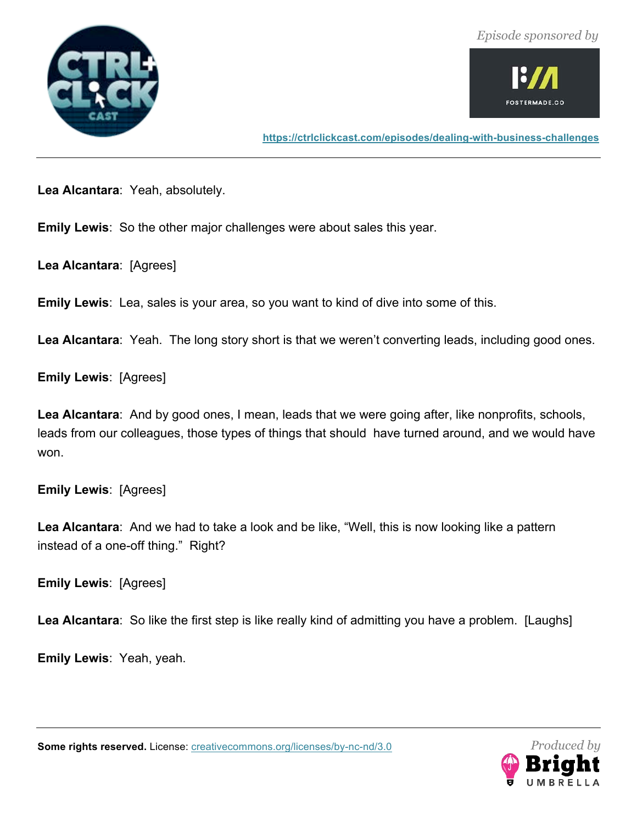



**https://ctrlclickcast.com/episodes/dealing-with-business-challenges**

**Lea Alcantara**: Yeah, absolutely.

**Emily Lewis**: So the other major challenges were about sales this year.

**Lea Alcantara**: [Agrees]

**Emily Lewis**: Lea, sales is your area, so you want to kind of dive into some of this.

**Lea Alcantara**: Yeah. The long story short is that we weren't converting leads, including good ones.

**Emily Lewis**: [Agrees]

**Lea Alcantara**: And by good ones, I mean, leads that we were going after, like nonprofits, schools, leads from our colleagues, those types of things that should have turned around, and we would have won.

**Emily Lewis**: [Agrees]

**Lea Alcantara**: And we had to take a look and be like, "Well, this is now looking like a pattern instead of a one-off thing." Right?

**Emily Lewis**: [Agrees]

**Lea Alcantara**: So like the first step is like really kind of admitting you have a problem. [Laughs]

**Emily Lewis**: Yeah, yeah.

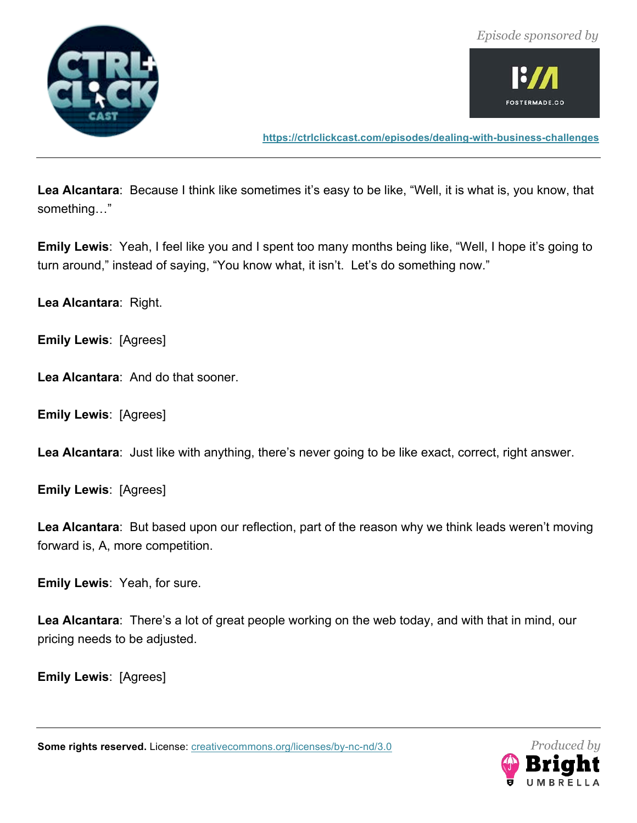



**https://ctrlclickcast.com/episodes/dealing-with-business-challenges**

**Lea Alcantara**: Because I think like sometimes it's easy to be like, "Well, it is what is, you know, that something…"

**Emily Lewis**: Yeah, I feel like you and I spent too many months being like, "Well, I hope it's going to turn around," instead of saying, "You know what, it isn't. Let's do something now."

**Lea Alcantara**: Right.

**Emily Lewis**: [Agrees]

**Lea Alcantara**: And do that sooner.

**Emily Lewis**: [Agrees]

**Lea Alcantara**: Just like with anything, there's never going to be like exact, correct, right answer.

**Emily Lewis**: [Agrees]

**Lea Alcantara**: But based upon our reflection, part of the reason why we think leads weren't moving forward is, A, more competition.

**Emily Lewis**: Yeah, for sure.

**Lea Alcantara**: There's a lot of great people working on the web today, and with that in mind, our pricing needs to be adjusted.

**Emily Lewis**: [Agrees]

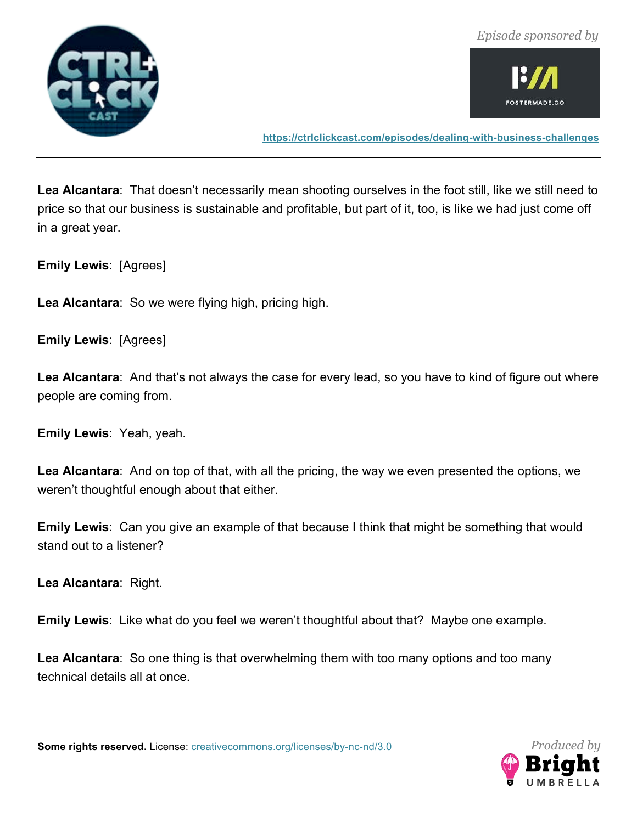



**https://ctrlclickcast.com/episodes/dealing-with-business-challenges**

**Lea Alcantara**: That doesn't necessarily mean shooting ourselves in the foot still, like we still need to price so that our business is sustainable and profitable, but part of it, too, is like we had just come off in a great year.

**Emily Lewis**: [Agrees]

**Lea Alcantara**: So we were flying high, pricing high.

**Emily Lewis**: [Agrees]

**Lea Alcantara**: And that's not always the case for every lead, so you have to kind of figure out where people are coming from.

**Emily Lewis**: Yeah, yeah.

**Lea Alcantara**: And on top of that, with all the pricing, the way we even presented the options, we weren't thoughtful enough about that either.

**Emily Lewis**: Can you give an example of that because I think that might be something that would stand out to a listener?

**Lea Alcantara**: Right.

**Emily Lewis**: Like what do you feel we weren't thoughtful about that? Maybe one example.

**Lea Alcantara**: So one thing is that overwhelming them with too many options and too many technical details all at once.

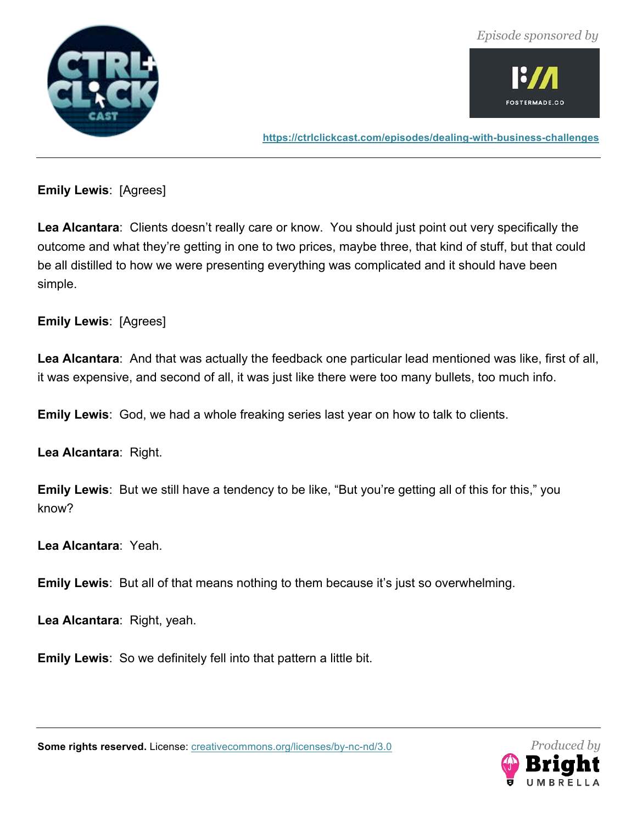

![](_page_32_Picture_2.jpeg)

**https://ctrlclickcast.com/episodes/dealing-with-business-challenges**

**Emily Lewis**: [Agrees]

**Lea Alcantara**: Clients doesn't really care or know. You should just point out very specifically the outcome and what they're getting in one to two prices, maybe three, that kind of stuff, but that could be all distilled to how we were presenting everything was complicated and it should have been simple.

**Emily Lewis**: [Agrees]

**Lea Alcantara**: And that was actually the feedback one particular lead mentioned was like, first of all, it was expensive, and second of all, it was just like there were too many bullets, too much info.

**Emily Lewis**: God, we had a whole freaking series last year on how to talk to clients.

**Lea Alcantara**: Right.

**Emily Lewis**: But we still have a tendency to be like, "But you're getting all of this for this," you know?

**Lea Alcantara**: Yeah.

**Emily Lewis**: But all of that means nothing to them because it's just so overwhelming.

**Lea Alcantara**: Right, yeah.

**Emily Lewis**: So we definitely fell into that pattern a little bit.

![](_page_32_Picture_15.jpeg)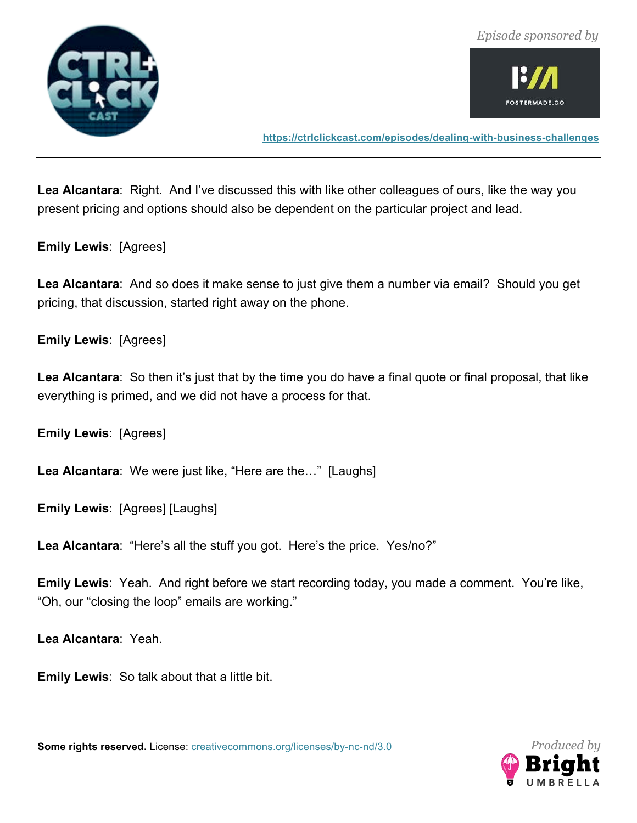![](_page_33_Picture_1.jpeg)

![](_page_33_Picture_2.jpeg)

**https://ctrlclickcast.com/episodes/dealing-with-business-challenges**

**Lea Alcantara**: Right. And I've discussed this with like other colleagues of ours, like the way you present pricing and options should also be dependent on the particular project and lead.

**Emily Lewis**: [Agrees]

**Lea Alcantara**: And so does it make sense to just give them a number via email? Should you get pricing, that discussion, started right away on the phone.

**Emily Lewis**: [Agrees]

**Lea Alcantara**: So then it's just that by the time you do have a final quote or final proposal, that like everything is primed, and we did not have a process for that.

**Emily Lewis**: [Agrees]

**Lea Alcantara**: We were just like, "Here are the…" [Laughs]

**Emily Lewis**: [Agrees] [Laughs]

**Lea Alcantara**: "Here's all the stuff you got. Here's the price. Yes/no?"

**Emily Lewis**: Yeah. And right before we start recording today, you made a comment. You're like, "Oh, our "closing the loop" emails are working."

**Lea Alcantara**: Yeah.

**Emily Lewis**: So talk about that a little bit.

![](_page_33_Picture_17.jpeg)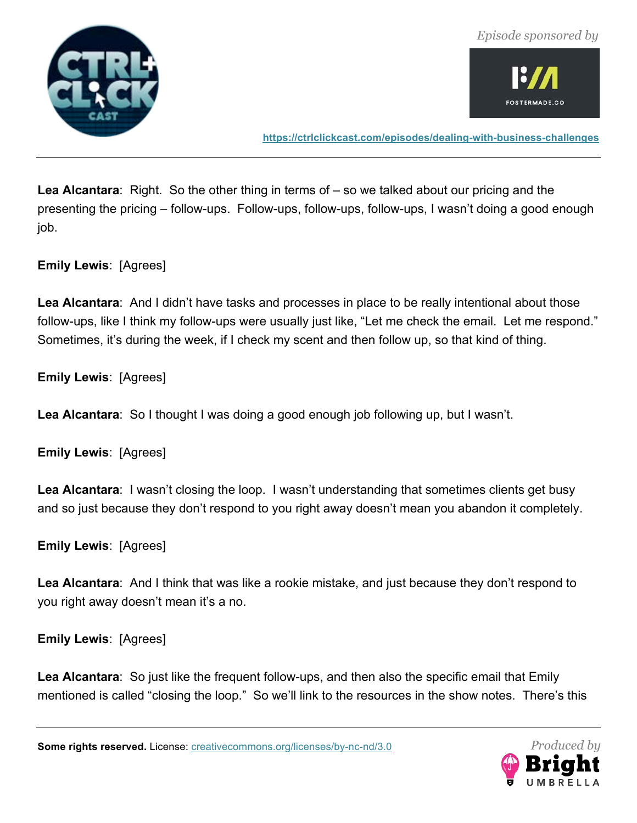![](_page_34_Picture_1.jpeg)

![](_page_34_Picture_2.jpeg)

**https://ctrlclickcast.com/episodes/dealing-with-business-challenges**

**Lea Alcantara**: Right. So the other thing in terms of – so we talked about our pricing and the presenting the pricing – follow-ups. Follow-ups, follow-ups, follow-ups, I wasn't doing a good enough job.

**Emily Lewis**: [Agrees]

**Lea Alcantara**: And I didn't have tasks and processes in place to be really intentional about those follow-ups, like I think my follow-ups were usually just like, "Let me check the email. Let me respond." Sometimes, it's during the week, if I check my scent and then follow up, so that kind of thing.

**Emily Lewis**: [Agrees]

**Lea Alcantara**: So I thought I was doing a good enough job following up, but I wasn't.

**Emily Lewis**: [Agrees]

**Lea Alcantara**: I wasn't closing the loop. I wasn't understanding that sometimes clients get busy and so just because they don't respond to you right away doesn't mean you abandon it completely.

**Emily Lewis**: [Agrees]

**Lea Alcantara**: And I think that was like a rookie mistake, and just because they don't respond to you right away doesn't mean it's a no.

**Emily Lewis**: [Agrees]

**Lea Alcantara**: So just like the frequent follow-ups, and then also the specific email that Emily mentioned is called "closing the loop." So we'll link to the resources in the show notes. There's this

![](_page_34_Picture_16.jpeg)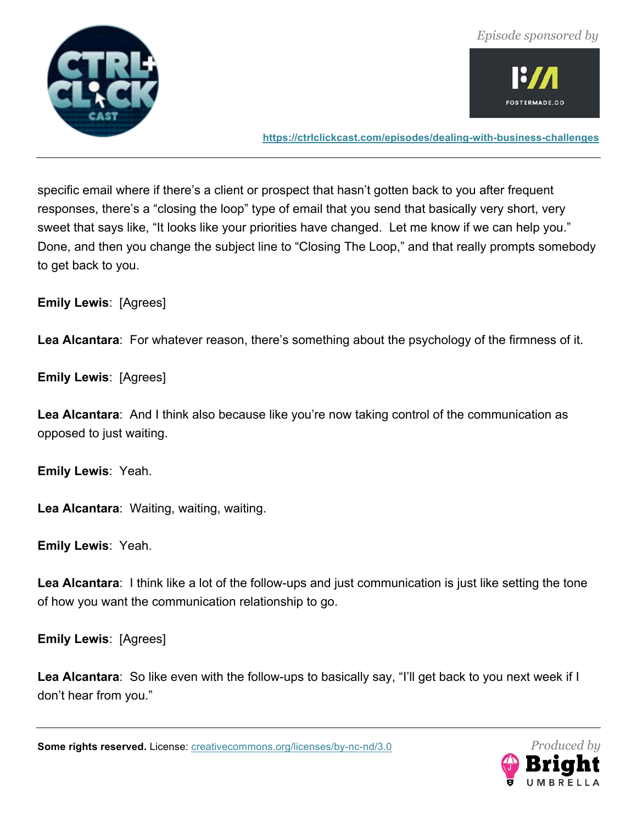![](_page_35_Picture_0.jpeg)

![](_page_35_Picture_2.jpeg)

**https://ctrlclickcast.com/episodes/dealing-with-business-challenges**

specific email where if there's a client or prospect that hasn't gotten back to you after frequent responses, there's a "closing the loop" type of email that you send that basically very short, very sweet that says like, "It looks like your priorities have changed. Let me know if we can help you." Done, and then you change the subject line to "Closing The Loop," and that really prompts somebody to get back to you.

**Emily Lewis**: [Agrees]

**Lea Alcantara**: For whatever reason, there's something about the psychology of the firmness of it.

**Emily Lewis**: [Agrees]

**Lea Alcantara**: And I think also because like you're now taking control of the communication as opposed to just waiting.

**Emily Lewis**: Yeah.

**Lea Alcantara**: Waiting, waiting, waiting.

**Emily Lewis**: Yeah.

**Lea Alcantara**: I think like a lot of the follow-ups and just communication is just like setting the tone of how you want the communication relationship to go.

**Emily Lewis**: [Agrees]

**Lea Alcantara**: So like even with the follow-ups to basically say, "I'll get back to you next week if I don't hear from you."

![](_page_35_Picture_16.jpeg)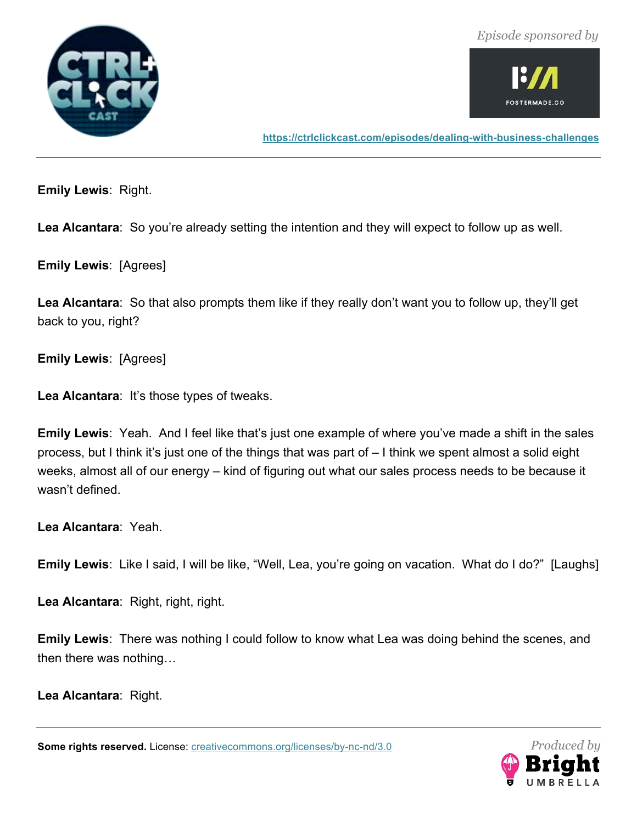![](_page_36_Picture_1.jpeg)

![](_page_36_Picture_2.jpeg)

**https://ctrlclickcast.com/episodes/dealing-with-business-challenges**

**Emily Lewis**: Right.

**Lea Alcantara**: So you're already setting the intention and they will expect to follow up as well.

**Emily Lewis**: [Agrees]

**Lea Alcantara**: So that also prompts them like if they really don't want you to follow up, they'll get back to you, right?

**Emily Lewis**: [Agrees]

**Lea Alcantara**: It's those types of tweaks.

**Emily Lewis**: Yeah. And I feel like that's just one example of where you've made a shift in the sales process, but I think it's just one of the things that was part of – I think we spent almost a solid eight weeks, almost all of our energy – kind of figuring out what our sales process needs to be because it wasn't defined.

**Lea Alcantara**: Yeah.

**Emily Lewis**: Like I said, I will be like, "Well, Lea, you're going on vacation. What do I do?" [Laughs]

**Lea Alcantara**: Right, right, right.

**Emily Lewis**: There was nothing I could follow to know what Lea was doing behind the scenes, and then there was nothing…

**Lea Alcantara**: Right.

![](_page_36_Picture_17.jpeg)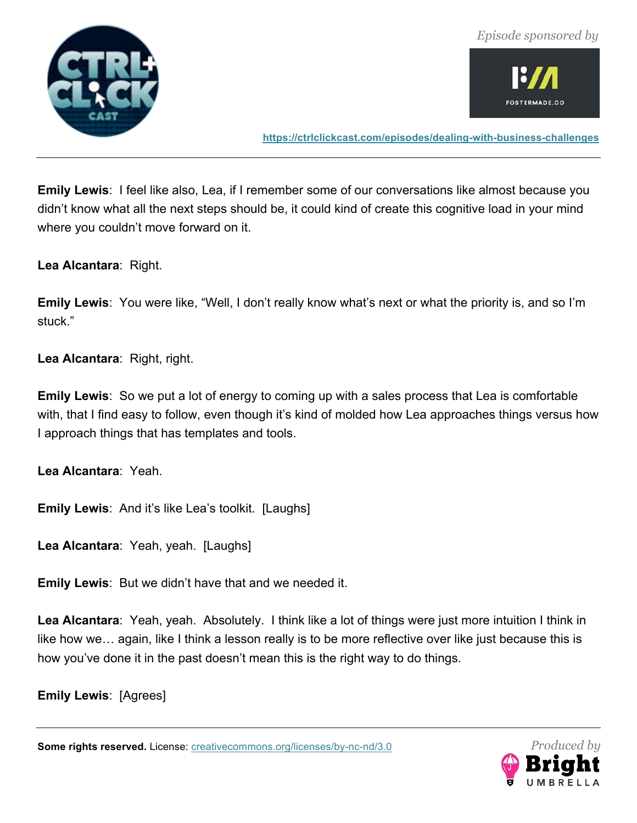![](_page_37_Picture_0.jpeg)

![](_page_37_Picture_2.jpeg)

**https://ctrlclickcast.com/episodes/dealing-with-business-challenges**

**Emily Lewis**: I feel like also, Lea, if I remember some of our conversations like almost because you didn't know what all the next steps should be, it could kind of create this cognitive load in your mind where you couldn't move forward on it.

**Lea Alcantara**: Right.

**Emily Lewis**: You were like, "Well, I don't really know what's next or what the priority is, and so I'm stuck."

**Lea Alcantara**: Right, right.

**Emily Lewis**: So we put a lot of energy to coming up with a sales process that Lea is comfortable with, that I find easy to follow, even though it's kind of molded how Lea approaches things versus how I approach things that has templates and tools.

**Lea Alcantara**: Yeah.

**Emily Lewis**: And it's like Lea's toolkit. [Laughs]

**Lea Alcantara**: Yeah, yeah. [Laughs]

**Emily Lewis**: But we didn't have that and we needed it.

**Lea Alcantara**: Yeah, yeah. Absolutely. I think like a lot of things were just more intuition I think in like how we… again, like I think a lesson really is to be more reflective over like just because this is how you've done it in the past doesn't mean this is the right way to do things.

**Emily Lewis**: [Agrees]

![](_page_37_Picture_16.jpeg)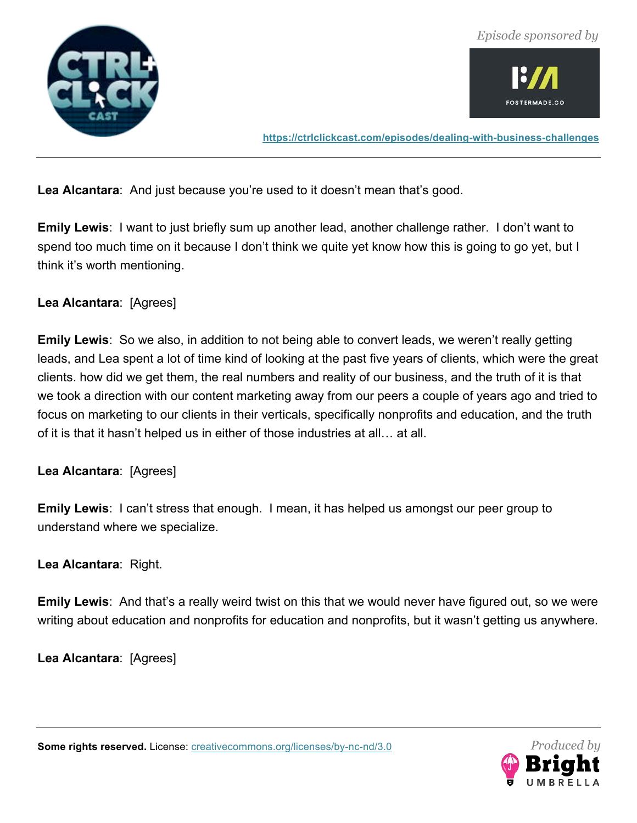![](_page_38_Picture_0.jpeg)

![](_page_38_Picture_2.jpeg)

**https://ctrlclickcast.com/episodes/dealing-with-business-challenges**

**Lea Alcantara**: And just because you're used to it doesn't mean that's good.

**Emily Lewis**: I want to just briefly sum up another lead, another challenge rather. I don't want to spend too much time on it because I don't think we quite yet know how this is going to go yet, but I think it's worth mentioning.

# **Lea Alcantara**: [Agrees]

**Emily Lewis**: So we also, in addition to not being able to convert leads, we weren't really getting leads, and Lea spent a lot of time kind of looking at the past five years of clients, which were the great clients. how did we get them, the real numbers and reality of our business, and the truth of it is that we took a direction with our content marketing away from our peers a couple of years ago and tried to focus on marketing to our clients in their verticals, specifically nonprofits and education, and the truth of it is that it hasn't helped us in either of those industries at all… at all.

### **Lea Alcantara**: [Agrees]

**Emily Lewis**: I can't stress that enough. I mean, it has helped us amongst our peer group to understand where we specialize.

### **Lea Alcantara**: Right.

**Emily Lewis**: And that's a really weird twist on this that we would never have figured out, so we were writing about education and nonprofits for education and nonprofits, but it wasn't getting us anywhere.

**Lea Alcantara**: [Agrees]

![](_page_38_Picture_14.jpeg)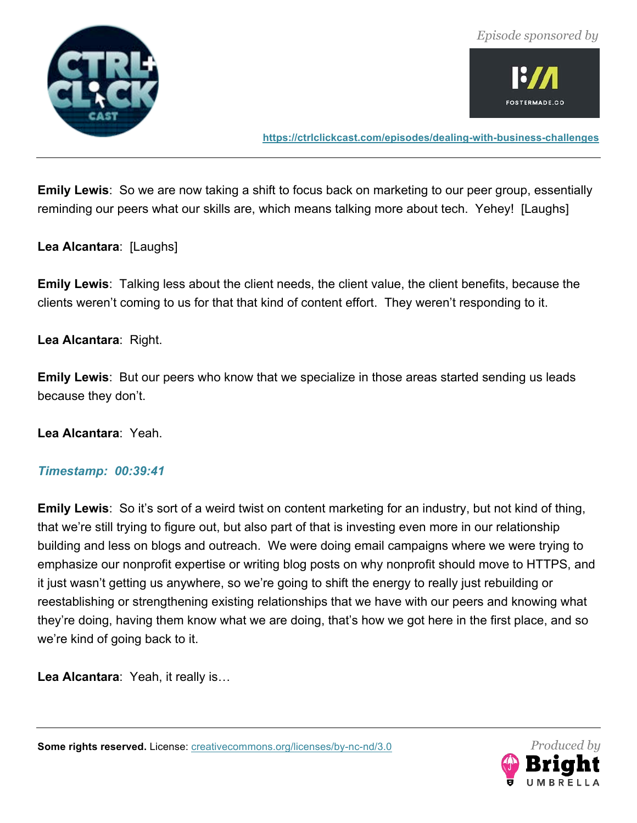![](_page_39_Picture_0.jpeg)

![](_page_39_Picture_2.jpeg)

**https://ctrlclickcast.com/episodes/dealing-with-business-challenges**

**Emily Lewis**: So we are now taking a shift to focus back on marketing to our peer group, essentially reminding our peers what our skills are, which means talking more about tech. Yehey! [Laughs]

**Lea Alcantara**: [Laughs]

**Emily Lewis**: Talking less about the client needs, the client value, the client benefits, because the clients weren't coming to us for that that kind of content effort. They weren't responding to it.

**Lea Alcantara**: Right.

**Emily Lewis**: But our peers who know that we specialize in those areas started sending us leads because they don't.

**Lea Alcantara**: Yeah.

#### *Timestamp: 00:39:41*

**Emily Lewis**: So it's sort of a weird twist on content marketing for an industry, but not kind of thing, that we're still trying to figure out, but also part of that is investing even more in our relationship building and less on blogs and outreach. We were doing email campaigns where we were trying to emphasize our nonprofit expertise or writing blog posts on why nonprofit should move to HTTPS, and it just wasn't getting us anywhere, so we're going to shift the energy to really just rebuilding or reestablishing or strengthening existing relationships that we have with our peers and knowing what they're doing, having them know what we are doing, that's how we got here in the first place, and so we're kind of going back to it.

**Lea Alcantara**: Yeah, it really is…

![](_page_39_Picture_14.jpeg)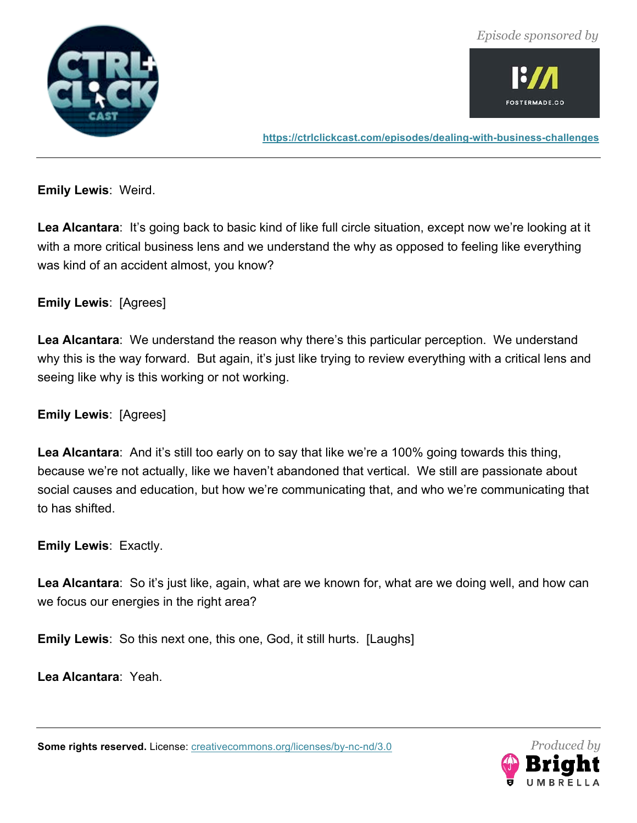![](_page_40_Picture_1.jpeg)

![](_page_40_Picture_2.jpeg)

**https://ctrlclickcast.com/episodes/dealing-with-business-challenges**

**Emily Lewis**: Weird.

**Lea Alcantara**: It's going back to basic kind of like full circle situation, except now we're looking at it with a more critical business lens and we understand the why as opposed to feeling like everything was kind of an accident almost, you know?

# **Emily Lewis**: [Agrees]

**Lea Alcantara**: We understand the reason why there's this particular perception. We understand why this is the way forward. But again, it's just like trying to review everything with a critical lens and seeing like why is this working or not working.

**Emily Lewis**: [Agrees]

Lea Alcantara: And it's still too early on to say that like we're a 100% going towards this thing, because we're not actually, like we haven't abandoned that vertical. We still are passionate about social causes and education, but how we're communicating that, and who we're communicating that to has shifted.

**Emily Lewis**: Exactly.

**Lea Alcantara**: So it's just like, again, what are we known for, what are we doing well, and how can we focus our energies in the right area?

**Emily Lewis**: So this next one, this one, God, it still hurts. [Laughs]

**Lea Alcantara**: Yeah.

![](_page_40_Picture_15.jpeg)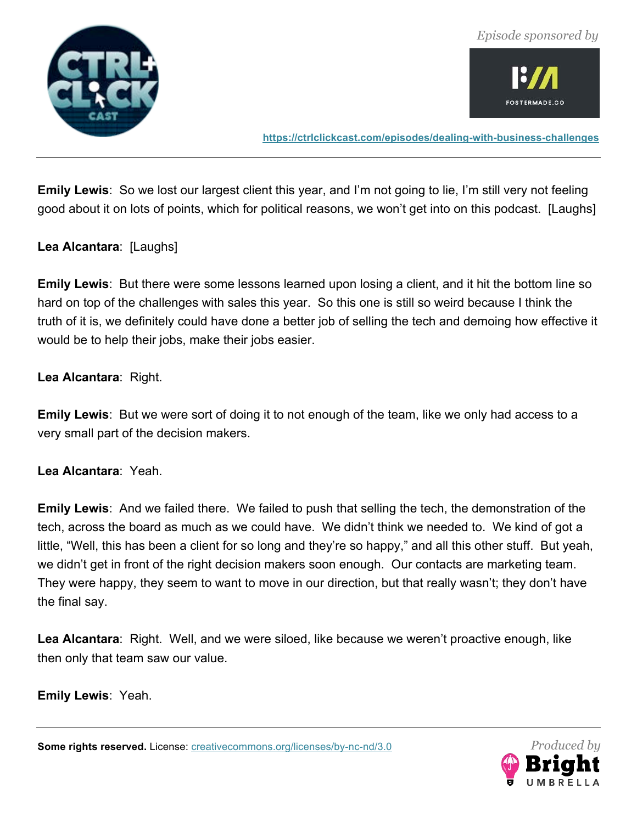![](_page_41_Picture_0.jpeg)

![](_page_41_Picture_2.jpeg)

**https://ctrlclickcast.com/episodes/dealing-with-business-challenges**

**Emily Lewis**: So we lost our largest client this year, and I'm not going to lie, I'm still very not feeling good about it on lots of points, which for political reasons, we won't get into on this podcast. [Laughs]

**Lea Alcantara**: [Laughs]

**Emily Lewis**: But there were some lessons learned upon losing a client, and it hit the bottom line so hard on top of the challenges with sales this year. So this one is still so weird because I think the truth of it is, we definitely could have done a better job of selling the tech and demoing how effective it would be to help their jobs, make their jobs easier.

**Lea Alcantara**: Right.

**Emily Lewis**: But we were sort of doing it to not enough of the team, like we only had access to a very small part of the decision makers.

**Lea Alcantara**: Yeah.

**Emily Lewis**: And we failed there. We failed to push that selling the tech, the demonstration of the tech, across the board as much as we could have. We didn't think we needed to. We kind of got a little, "Well, this has been a client for so long and they're so happy," and all this other stuff. But yeah, we didn't get in front of the right decision makers soon enough. Our contacts are marketing team. They were happy, they seem to want to move in our direction, but that really wasn't; they don't have the final say.

**Lea Alcantara**: Right. Well, and we were siloed, like because we weren't proactive enough, like then only that team saw our value.

**Emily Lewis**: Yeah.

![](_page_41_Picture_14.jpeg)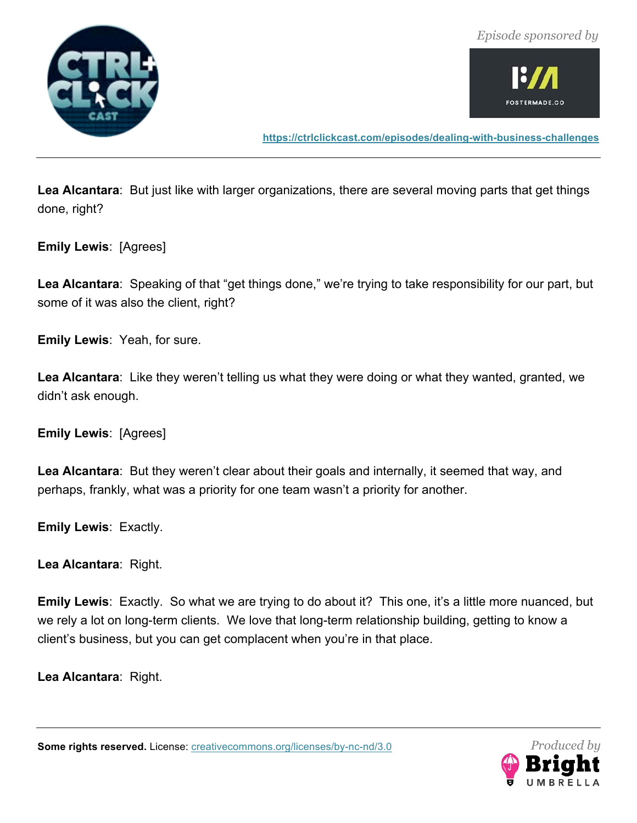![](_page_42_Picture_1.jpeg)

![](_page_42_Picture_2.jpeg)

**https://ctrlclickcast.com/episodes/dealing-with-business-challenges**

**Lea Alcantara**: But just like with larger organizations, there are several moving parts that get things done, right?

**Emily Lewis**: [Agrees]

Lea Alcantara: Speaking of that "get things done," we're trying to take responsibility for our part, but some of it was also the client, right?

**Emily Lewis**: Yeah, for sure.

**Lea Alcantara**: Like they weren't telling us what they were doing or what they wanted, granted, we didn't ask enough.

**Emily Lewis**: [Agrees]

**Lea Alcantara**: But they weren't clear about their goals and internally, it seemed that way, and perhaps, frankly, what was a priority for one team wasn't a priority for another.

**Emily Lewis**: Exactly.

**Lea Alcantara**: Right.

**Emily Lewis**: Exactly. So what we are trying to do about it? This one, it's a little more nuanced, but we rely a lot on long-term clients. We love that long-term relationship building, getting to know a client's business, but you can get complacent when you're in that place.

**Lea Alcantara**: Right.

![](_page_42_Picture_16.jpeg)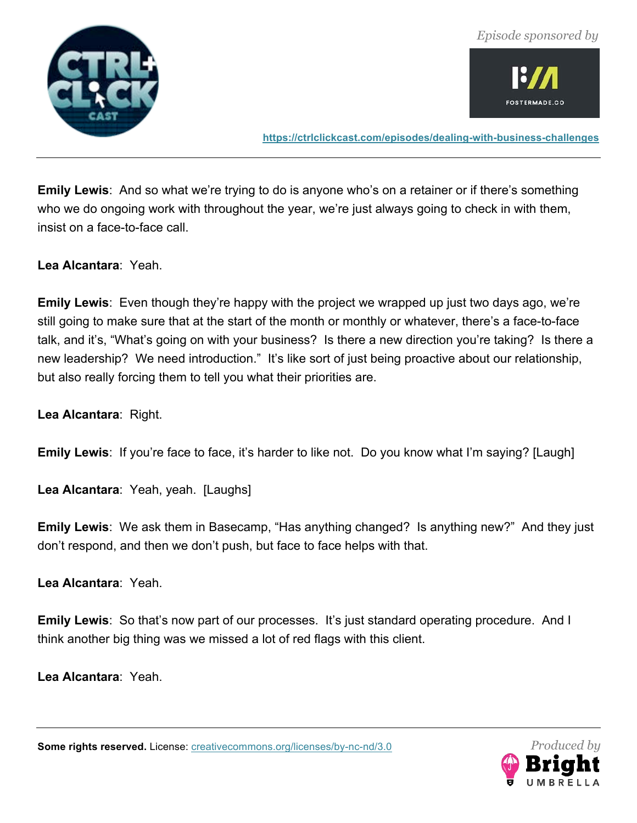![](_page_43_Picture_0.jpeg)

![](_page_43_Picture_2.jpeg)

**https://ctrlclickcast.com/episodes/dealing-with-business-challenges**

**Emily Lewis**: And so what we're trying to do is anyone who's on a retainer or if there's something who we do ongoing work with throughout the year, we're just always going to check in with them, insist on a face-to-face call.

**Lea Alcantara**: Yeah.

**Emily Lewis**: Even though they're happy with the project we wrapped up just two days ago, we're still going to make sure that at the start of the month or monthly or whatever, there's a face-to-face talk, and it's, "What's going on with your business? Is there a new direction you're taking? Is there a new leadership? We need introduction." It's like sort of just being proactive about our relationship, but also really forcing them to tell you what their priorities are.

**Lea Alcantara**: Right.

**Emily Lewis**: If you're face to face, it's harder to like not. Do you know what I'm saying? [Laugh]

**Lea Alcantara**: Yeah, yeah. [Laughs]

**Emily Lewis**: We ask them in Basecamp, "Has anything changed? Is anything new?" And they just don't respond, and then we don't push, but face to face helps with that.

**Lea Alcantara**: Yeah.

**Emily Lewis**: So that's now part of our processes. It's just standard operating procedure. And I think another big thing was we missed a lot of red flags with this client.

**Lea Alcantara**: Yeah.

![](_page_43_Picture_15.jpeg)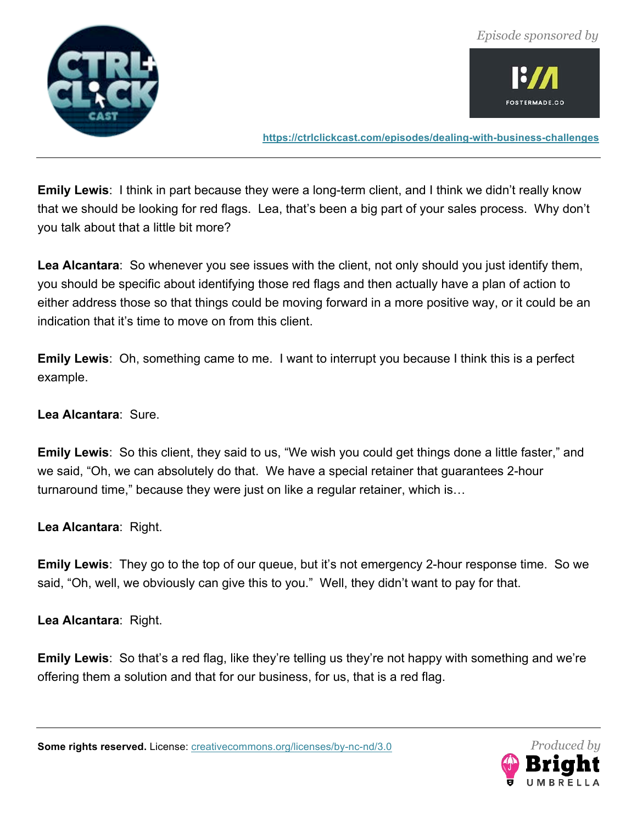![](_page_44_Picture_0.jpeg)

![](_page_44_Picture_2.jpeg)

**https://ctrlclickcast.com/episodes/dealing-with-business-challenges**

**Emily Lewis**: I think in part because they were a long-term client, and I think we didn't really know that we should be looking for red flags. Lea, that's been a big part of your sales process. Why don't you talk about that a little bit more?

**Lea Alcantara**: So whenever you see issues with the client, not only should you just identify them, you should be specific about identifying those red flags and then actually have a plan of action to either address those so that things could be moving forward in a more positive way, or it could be an indication that it's time to move on from this client.

**Emily Lewis**: Oh, something came to me. I want to interrupt you because I think this is a perfect example.

**Lea Alcantara**: Sure.

**Emily Lewis**: So this client, they said to us, "We wish you could get things done a little faster," and we said, "Oh, we can absolutely do that. We have a special retainer that guarantees 2-hour turnaround time," because they were just on like a regular retainer, which is…

**Lea Alcantara**: Right.

**Emily Lewis**: They go to the top of our queue, but it's not emergency 2-hour response time. So we said, "Oh, well, we obviously can give this to you." Well, they didn't want to pay for that.

**Lea Alcantara**: Right.

**Emily Lewis**: So that's a red flag, like they're telling us they're not happy with something and we're offering them a solution and that for our business, for us, that is a red flag.

![](_page_44_Picture_14.jpeg)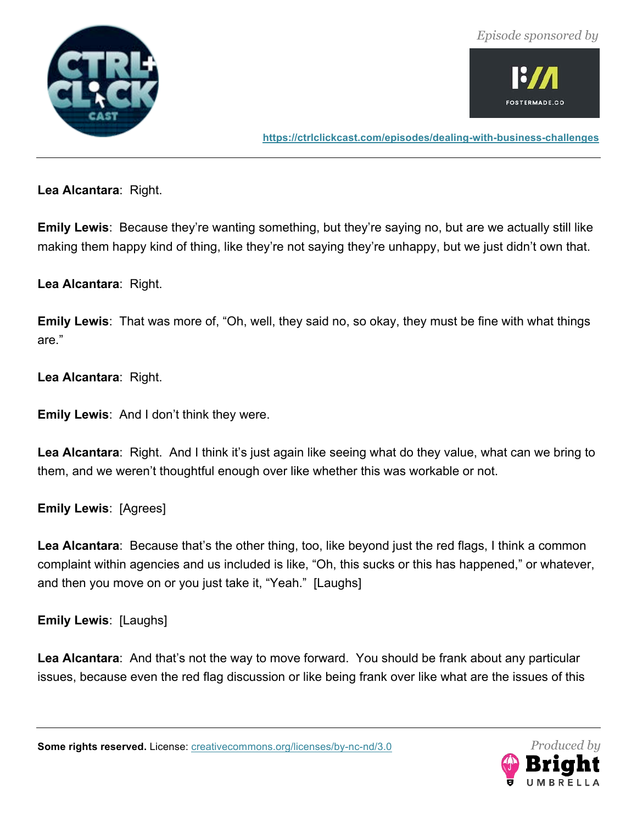![](_page_45_Picture_1.jpeg)

![](_page_45_Picture_2.jpeg)

**https://ctrlclickcast.com/episodes/dealing-with-business-challenges**

**Lea Alcantara**: Right.

**Emily Lewis**: Because they're wanting something, but they're saying no, but are we actually still like making them happy kind of thing, like they're not saying they're unhappy, but we just didn't own that.

**Lea Alcantara**: Right.

**Emily Lewis**: That was more of, "Oh, well, they said no, so okay, they must be fine with what things are."

**Lea Alcantara**: Right.

**Emily Lewis**: And I don't think they were.

**Lea Alcantara**: Right. And I think it's just again like seeing what do they value, what can we bring to them, and we weren't thoughtful enough over like whether this was workable or not.

**Emily Lewis**: [Agrees]

**Lea Alcantara**: Because that's the other thing, too, like beyond just the red flags, I think a common complaint within agencies and us included is like, "Oh, this sucks or this has happened," or whatever, and then you move on or you just take it, "Yeah." [Laughs]

**Emily Lewis**: [Laughs]

**Lea Alcantara**: And that's not the way to move forward. You should be frank about any particular issues, because even the red flag discussion or like being frank over like what are the issues of this

![](_page_45_Picture_16.jpeg)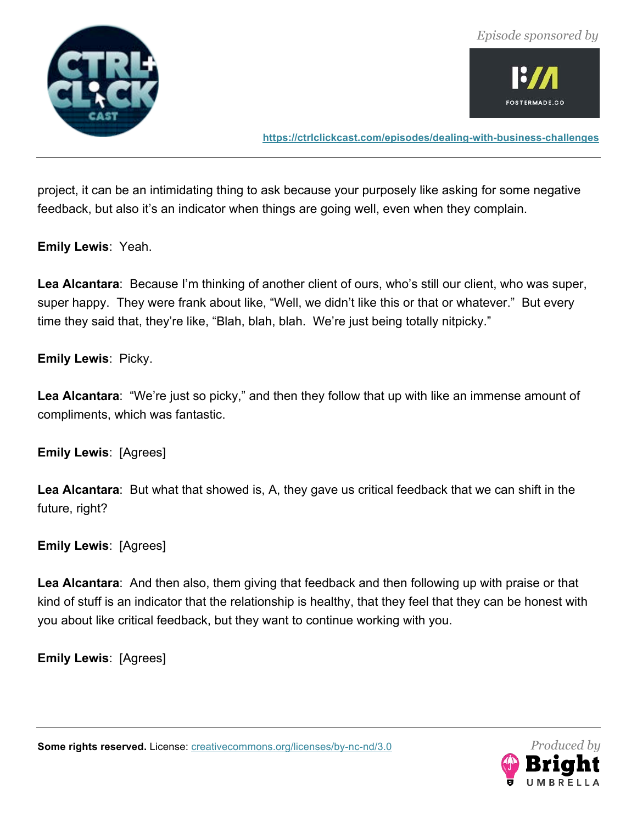![](_page_46_Picture_0.jpeg)

![](_page_46_Picture_1.jpeg)

![](_page_46_Picture_2.jpeg)

**https://ctrlclickcast.com/episodes/dealing-with-business-challenges**

project, it can be an intimidating thing to ask because your purposely like asking for some negative feedback, but also it's an indicator when things are going well, even when they complain.

**Emily Lewis**: Yeah.

**Lea Alcantara**: Because I'm thinking of another client of ours, who's still our client, who was super, super happy. They were frank about like, "Well, we didn't like this or that or whatever." But every time they said that, they're like, "Blah, blah, blah. We're just being totally nitpicky."

**Emily Lewis**: Picky.

**Lea Alcantara**: "We're just so picky," and then they follow that up with like an immense amount of compliments, which was fantastic.

**Emily Lewis**: [Agrees]

**Lea Alcantara**: But what that showed is, A, they gave us critical feedback that we can shift in the future, right?

**Emily Lewis**: [Agrees]

**Lea Alcantara**: And then also, them giving that feedback and then following up with praise or that kind of stuff is an indicator that the relationship is healthy, that they feel that they can be honest with you about like critical feedback, but they want to continue working with you.

**Emily Lewis**: [Agrees]

![](_page_46_Picture_14.jpeg)

![](_page_46_Picture_15.jpeg)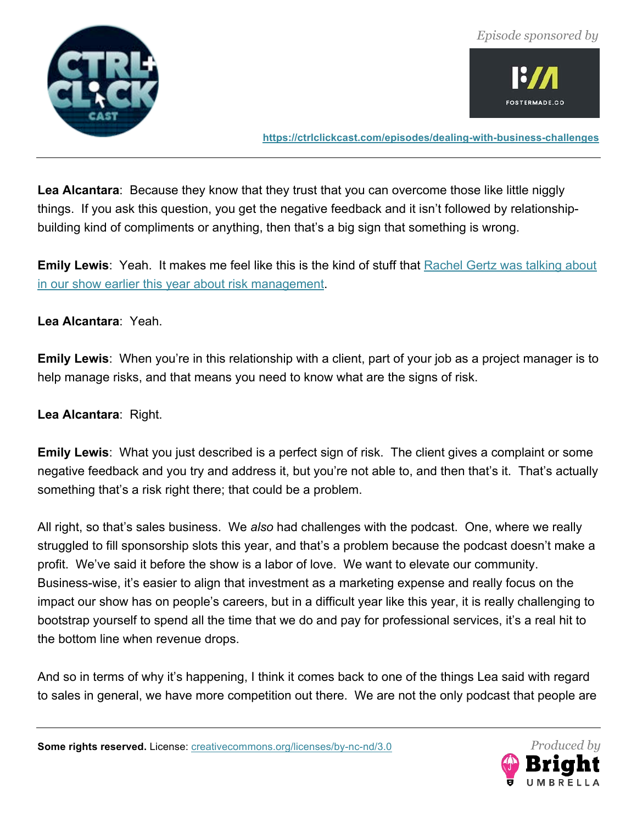![](_page_47_Picture_1.jpeg)

![](_page_47_Picture_2.jpeg)

**https://ctrlclickcast.com/episodes/dealing-with-business-challenges**

**Lea Alcantara**: Because they know that they trust that you can overcome those like little niggly things. If you ask this question, you get the negative feedback and it isn't followed by relationshipbuilding kind of compliments or anything, then that's a big sign that something is wrong.

**Emily Lewis**: Yeah. It makes me feel like this is the kind of stuff that Rachel Gertz was talking about in our show earlier this year about risk management.

#### **Lea Alcantara**: Yeah.

**Emily Lewis**: When you're in this relationship with a client, part of your job as a project manager is to help manage risks, and that means you need to know what are the signs of risk.

**Lea Alcantara**: Right.

**Emily Lewis**: What you just described is a perfect sign of risk. The client gives a complaint or some negative feedback and you try and address it, but you're not able to, and then that's it. That's actually something that's a risk right there; that could be a problem.

All right, so that's sales business. We *also* had challenges with the podcast. One, where we really struggled to fill sponsorship slots this year, and that's a problem because the podcast doesn't make a profit. We've said it before the show is a labor of love. We want to elevate our community. Business-wise, it's easier to align that investment as a marketing expense and really focus on the impact our show has on people's careers, but in a difficult year like this year, it is really challenging to bootstrap yourself to spend all the time that we do and pay for professional services, it's a real hit to the bottom line when revenue drops.

And so in terms of why it's happening, I think it comes back to one of the things Lea said with regard to sales in general, we have more competition out there. We are not the only podcast that people are

![](_page_47_Picture_13.jpeg)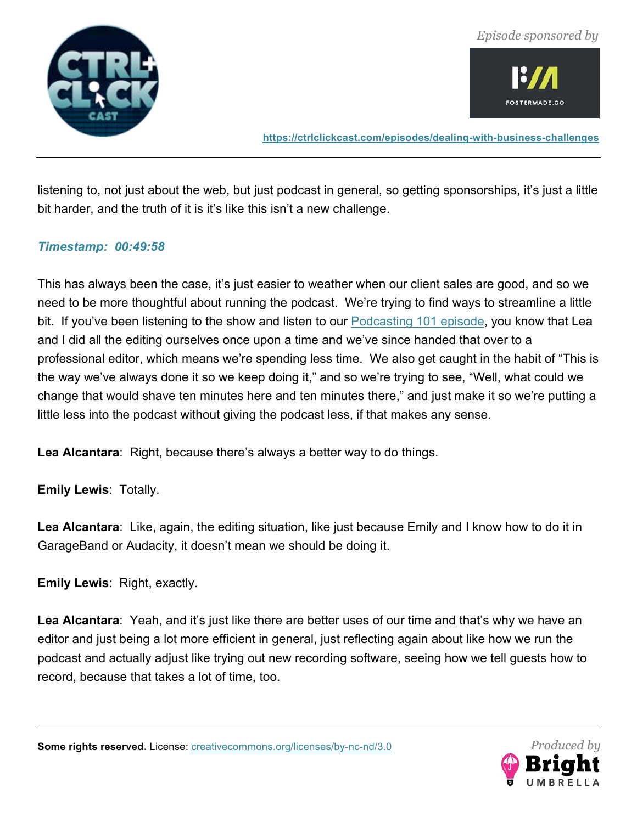![](_page_48_Picture_0.jpeg)

![](_page_48_Picture_2.jpeg)

**https://ctrlclickcast.com/episodes/dealing-with-business-challenges**

listening to, not just about the web, but just podcast in general, so getting sponsorships, it's just a little bit harder, and the truth of it is it's like this isn't a new challenge.

#### *Timestamp: 00:49:58*

This has always been the case, it's just easier to weather when our client sales are good, and so we need to be more thoughtful about running the podcast. We're trying to find ways to streamline a little bit. If you've been listening to the show and listen to our Podcasting 101 episode, you know that Lea and I did all the editing ourselves once upon a time and we've since handed that over to a professional editor, which means we're spending less time. We also get caught in the habit of "This is the way we've always done it so we keep doing it," and so we're trying to see, "Well, what could we change that would shave ten minutes here and ten minutes there," and just make it so we're putting a little less into the podcast without giving the podcast less, if that makes any sense.

**Lea Alcantara**: Right, because there's always a better way to do things.

**Emily Lewis**: Totally.

**Lea Alcantara**: Like, again, the editing situation, like just because Emily and I know how to do it in GarageBand or Audacity, it doesn't mean we should be doing it.

**Emily Lewis**: Right, exactly.

**Lea Alcantara**: Yeah, and it's just like there are better uses of our time and that's why we have an editor and just being a lot more efficient in general, just reflecting again about like how we run the podcast and actually adjust like trying out new recording software, seeing how we tell guests how to record, because that takes a lot of time, too.

![](_page_48_Picture_13.jpeg)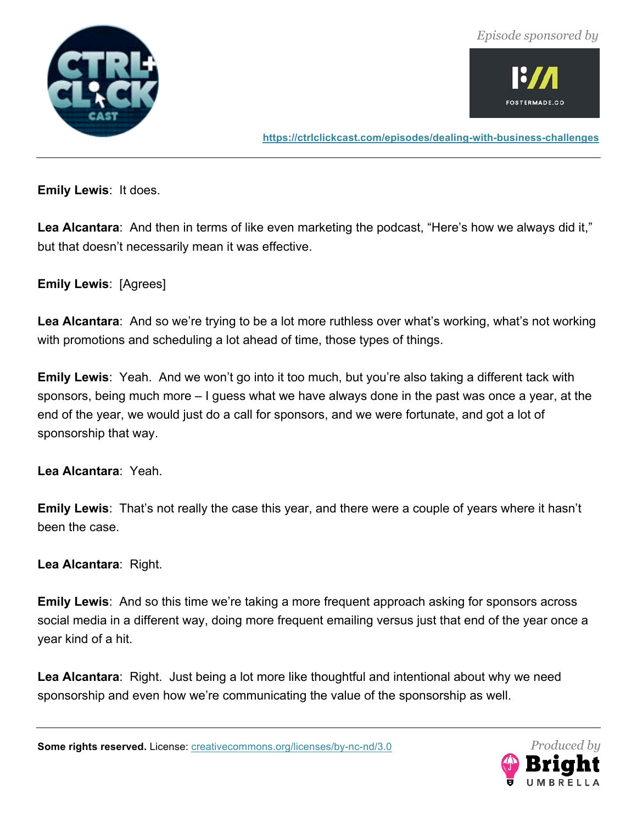![](_page_49_Picture_1.jpeg)

![](_page_49_Picture_2.jpeg)

**https://ctrlclickcast.com/episodes/dealing-with-business-challenges**

**Emily Lewis**: It does.

**Lea Alcantara**: And then in terms of like even marketing the podcast, "Here's how we always did it," but that doesn't necessarily mean it was effective.

**Emily Lewis**: [Agrees]

**Lea Alcantara**: And so we're trying to be a lot more ruthless over what's working, what's not working with promotions and scheduling a lot ahead of time, those types of things.

**Emily Lewis**: Yeah. And we won't go into it too much, but you're also taking a different tack with sponsors, being much more – I guess what we have always done in the past was once a year, at the end of the year, we would just do a call for sponsors, and we were fortunate, and got a lot of sponsorship that way.

**Lea Alcantara**: Yeah.

**Emily Lewis**: That's not really the case this year, and there were a couple of years where it hasn't been the case.

**Lea Alcantara**: Right.

**Emily Lewis**: And so this time we're taking a more frequent approach asking for sponsors across social media in a different way, doing more frequent emailing versus just that end of the year once a year kind of a hit.

**Lea Alcantara**: Right. Just being a lot more like thoughtful and intentional about why we need sponsorship and even how we're communicating the value of the sponsorship as well.

![](_page_49_Picture_15.jpeg)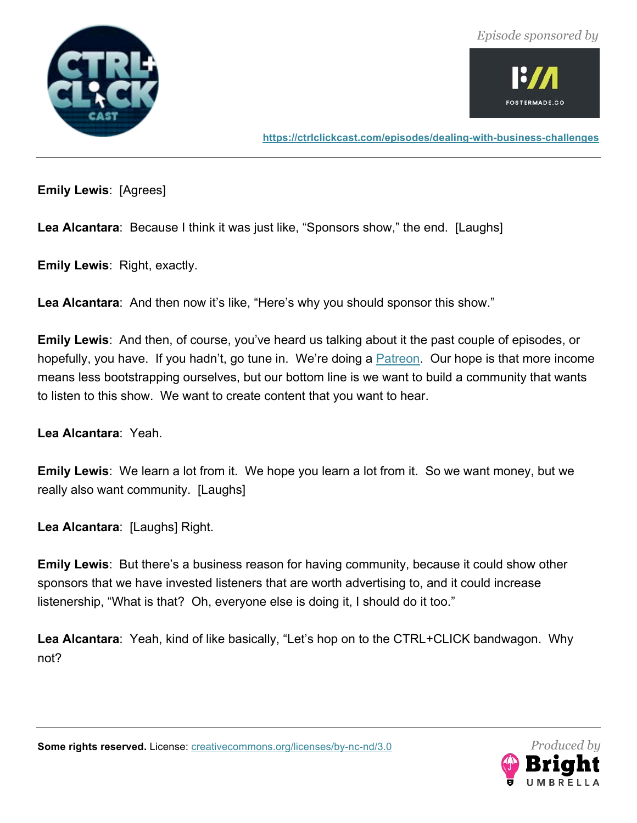![](_page_50_Picture_1.jpeg)

![](_page_50_Picture_2.jpeg)

**https://ctrlclickcast.com/episodes/dealing-with-business-challenges**

**Emily Lewis**: [Agrees]

**Lea Alcantara**: Because I think it was just like, "Sponsors show," the end. [Laughs]

**Emily Lewis**: Right, exactly.

Lea Alcantara: And then now it's like, "Here's why you should sponsor this show."

**Emily Lewis**: And then, of course, you've heard us talking about it the past couple of episodes, or hopefully, you have. If you hadn't, go tune in. We're doing a **Patreon.** Our hope is that more income means less bootstrapping ourselves, but our bottom line is we want to build a community that wants to listen to this show. We want to create content that you want to hear.

**Lea Alcantara**: Yeah.

**Emily Lewis**: We learn a lot from it. We hope you learn a lot from it. So we want money, but we really also want community. [Laughs]

**Lea Alcantara**: [Laughs] Right.

**Emily Lewis**: But there's a business reason for having community, because it could show other sponsors that we have invested listeners that are worth advertising to, and it could increase listenership, "What is that? Oh, everyone else is doing it, I should do it too."

**Lea Alcantara**: Yeah, kind of like basically, "Let's hop on to the CTRL+CLICK bandwagon. Why not?

![](_page_50_Picture_15.jpeg)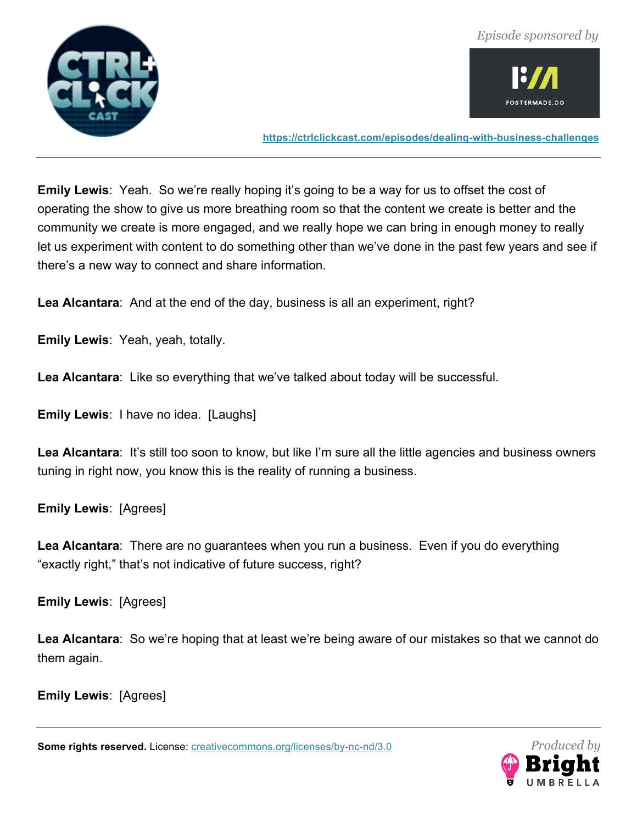![](_page_51_Picture_0.jpeg)

![](_page_51_Picture_2.jpeg)

**https://ctrlclickcast.com/episodes/dealing-with-business-challenges**

**Emily Lewis**: Yeah. So we're really hoping it's going to be a way for us to offset the cost of operating the show to give us more breathing room so that the content we create is better and the community we create is more engaged, and we really hope we can bring in enough money to really let us experiment with content to do something other than we've done in the past few years and see if there's a new way to connect and share information.

**Lea Alcantara**: And at the end of the day, business is all an experiment, right?

**Emily Lewis**: Yeah, yeah, totally.

**Lea Alcantara**: Like so everything that we've talked about today will be successful.

**Emily Lewis**: I have no idea. [Laughs]

**Lea Alcantara**: It's still too soon to know, but like I'm sure all the little agencies and business owners tuning in right now, you know this is the reality of running a business.

**Emily Lewis**: [Agrees]

**Lea Alcantara**: There are no guarantees when you run a business. Even if you do everything "exactly right," that's not indicative of future success, right?

**Emily Lewis**: [Agrees]

**Lea Alcantara**: So we're hoping that at least we're being aware of our mistakes so that we cannot do them again.

**Emily Lewis**: [Agrees]

![](_page_51_Picture_16.jpeg)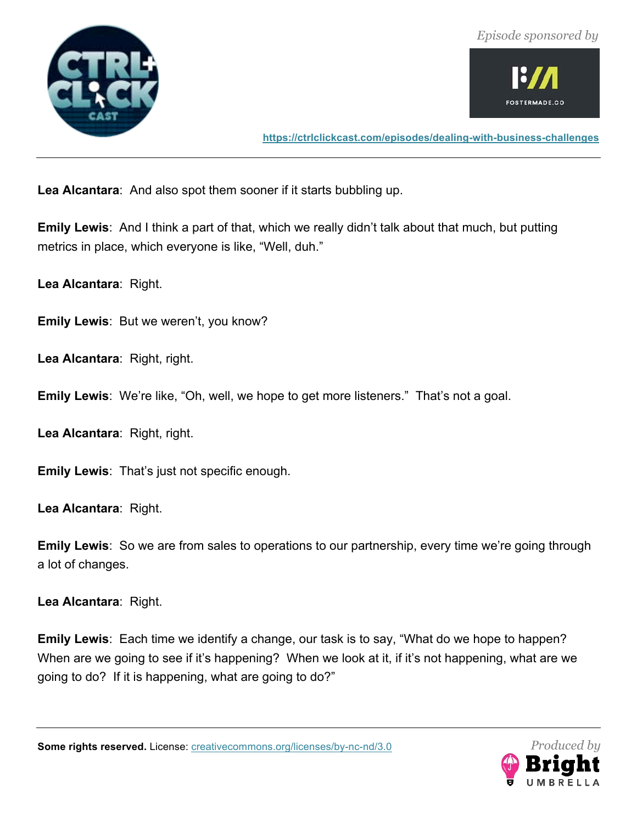![](_page_52_Picture_1.jpeg)

![](_page_52_Picture_2.jpeg)

**https://ctrlclickcast.com/episodes/dealing-with-business-challenges**

**Lea Alcantara**: And also spot them sooner if it starts bubbling up.

**Emily Lewis**: And I think a part of that, which we really didn't talk about that much, but putting metrics in place, which everyone is like, "Well, duh."

**Lea Alcantara**: Right.

**Emily Lewis**: But we weren't, you know?

**Lea Alcantara**: Right, right.

**Emily Lewis**: We're like, "Oh, well, we hope to get more listeners." That's not a goal.

**Lea Alcantara**: Right, right.

**Emily Lewis**: That's just not specific enough.

**Lea Alcantara**: Right.

**Emily Lewis**: So we are from sales to operations to our partnership, every time we're going through a lot of changes.

**Lea Alcantara**: Right.

**Emily Lewis**: Each time we identify a change, our task is to say, "What do we hope to happen? When are we going to see if it's happening? When we look at it, if it's not happening, what are we going to do? If it is happening, what are going to do?"

![](_page_52_Picture_17.jpeg)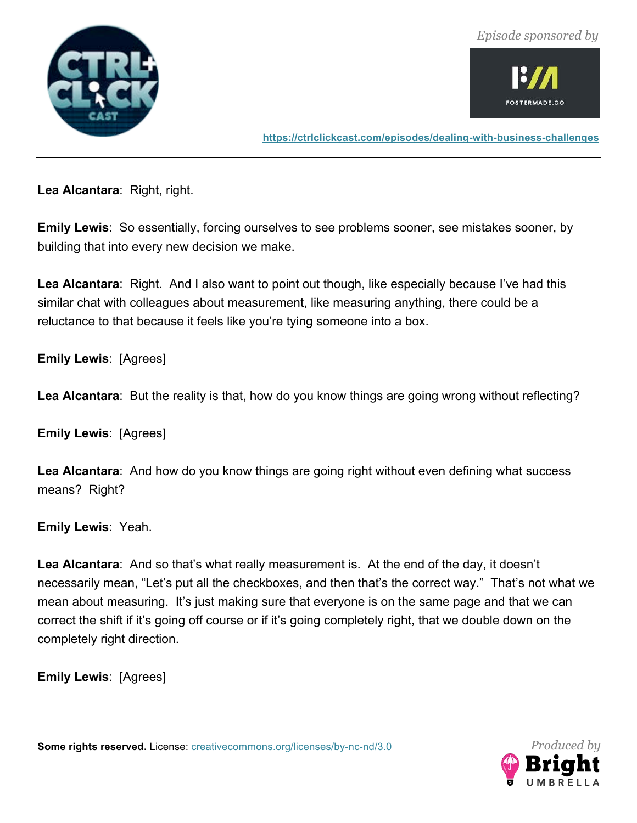![](_page_53_Picture_1.jpeg)

![](_page_53_Picture_2.jpeg)

**https://ctrlclickcast.com/episodes/dealing-with-business-challenges**

**Lea Alcantara**: Right, right.

**Emily Lewis**: So essentially, forcing ourselves to see problems sooner, see mistakes sooner, by building that into every new decision we make.

**Lea Alcantara**: Right. And I also want to point out though, like especially because I've had this similar chat with colleagues about measurement, like measuring anything, there could be a reluctance to that because it feels like you're tying someone into a box.

**Emily Lewis**: [Agrees]

**Lea Alcantara**: But the reality is that, how do you know things are going wrong without reflecting?

**Emily Lewis**: [Agrees]

**Lea Alcantara**: And how do you know things are going right without even defining what success means? Right?

**Emily Lewis**: Yeah.

**Lea Alcantara**: And so that's what really measurement is. At the end of the day, it doesn't necessarily mean, "Let's put all the checkboxes, and then that's the correct way." That's not what we mean about measuring. It's just making sure that everyone is on the same page and that we can correct the shift if it's going off course or if it's going completely right, that we double down on the completely right direction.

**Emily Lewis**: [Agrees]

![](_page_53_Picture_15.jpeg)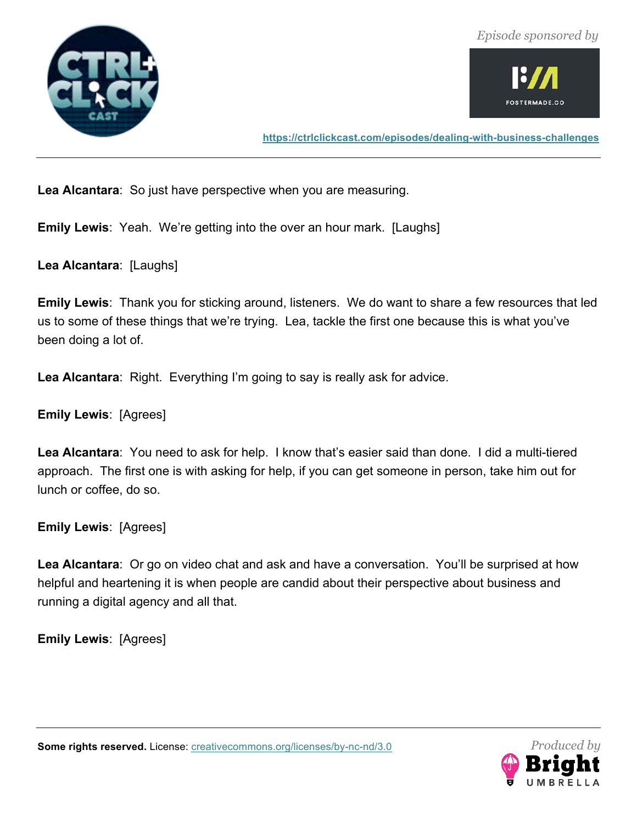![](_page_54_Picture_1.jpeg)

![](_page_54_Picture_2.jpeg)

**https://ctrlclickcast.com/episodes/dealing-with-business-challenges**

**Lea Alcantara**: So just have perspective when you are measuring.

**Emily Lewis**: Yeah. We're getting into the over an hour mark. [Laughs]

**Lea Alcantara**: [Laughs]

**Emily Lewis**: Thank you for sticking around, listeners. We do want to share a few resources that led us to some of these things that we're trying. Lea, tackle the first one because this is what you've been doing a lot of.

**Lea Alcantara**: Right. Everything I'm going to say is really ask for advice.

**Emily Lewis**: [Agrees]

**Lea Alcantara**: You need to ask for help. I know that's easier said than done. I did a multi-tiered approach. The first one is with asking for help, if you can get someone in person, take him out for lunch or coffee, do so.

**Emily Lewis**: [Agrees]

**Lea Alcantara**: Or go on video chat and ask and have a conversation. You'll be surprised at how helpful and heartening it is when people are candid about their perspective about business and running a digital agency and all that.

**Emily Lewis**: [Agrees]

![](_page_54_Picture_14.jpeg)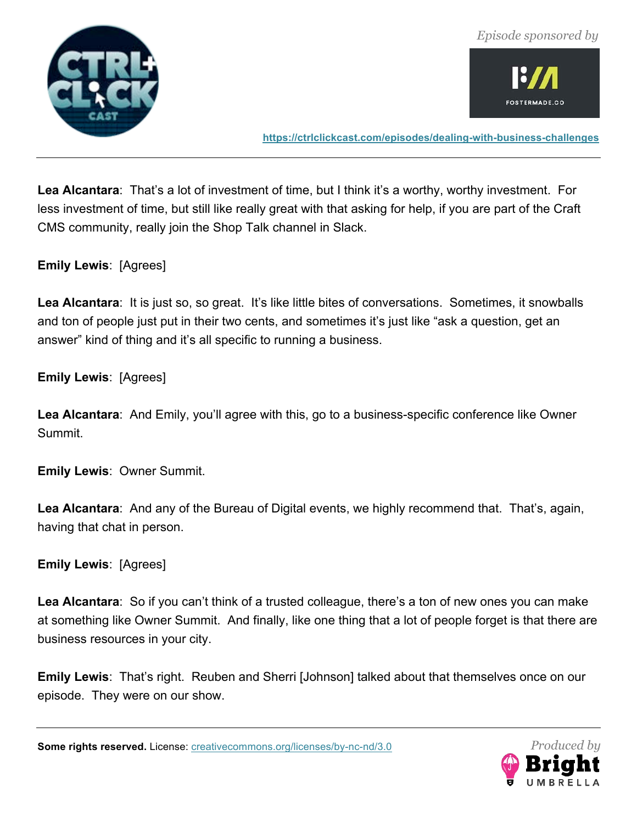![](_page_55_Picture_0.jpeg)

![](_page_55_Picture_2.jpeg)

**https://ctrlclickcast.com/episodes/dealing-with-business-challenges**

**Lea Alcantara**: That's a lot of investment of time, but I think it's a worthy, worthy investment. For less investment of time, but still like really great with that asking for help, if you are part of the Craft CMS community, really join the Shop Talk channel in Slack.

**Emily Lewis**: [Agrees]

Lea Alcantara: It is just so, so great. It's like little bites of conversations. Sometimes, it snowballs and ton of people just put in their two cents, and sometimes it's just like "ask a question, get an answer" kind of thing and it's all specific to running a business.

**Emily Lewis**: [Agrees]

**Lea Alcantara**: And Emily, you'll agree with this, go to a business-specific conference like Owner Summit.

**Emily Lewis**: Owner Summit.

**Lea Alcantara**: And any of the Bureau of Digital events, we highly recommend that. That's, again, having that chat in person.

**Emily Lewis**: [Agrees]

**Lea Alcantara**: So if you can't think of a trusted colleague, there's a ton of new ones you can make at something like Owner Summit. And finally, like one thing that a lot of people forget is that there are business resources in your city.

**Emily Lewis**: That's right. Reuben and Sherri [Johnson] talked about that themselves once on our episode. They were on our show.

![](_page_55_Picture_15.jpeg)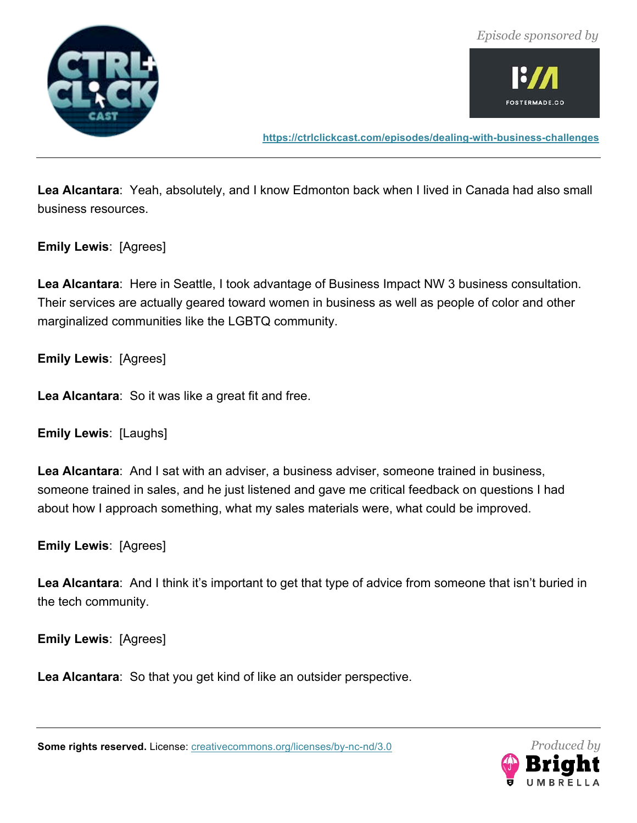![](_page_56_Picture_0.jpeg)

![](_page_56_Picture_1.jpeg)

![](_page_56_Picture_2.jpeg)

**https://ctrlclickcast.com/episodes/dealing-with-business-challenges**

**Lea Alcantara**: Yeah, absolutely, and I know Edmonton back when I lived in Canada had also small business resources.

**Emily Lewis**: [Agrees]

**Lea Alcantara**: Here in Seattle, I took advantage of Business Impact NW 3 business consultation. Their services are actually geared toward women in business as well as people of color and other marginalized communities like the LGBTQ community.

**Emily Lewis**: [Agrees]

**Lea Alcantara**: So it was like a great fit and free.

**Emily Lewis**: [Laughs]

**Lea Alcantara**: And I sat with an adviser, a business adviser, someone trained in business, someone trained in sales, and he just listened and gave me critical feedback on questions I had about how I approach something, what my sales materials were, what could be improved.

**Emily Lewis**: [Agrees]

**Lea Alcantara**: And I think it's important to get that type of advice from someone that isn't buried in the tech community.

**Emily Lewis**: [Agrees]

**Lea Alcantara**: So that you get kind of like an outsider perspective.

![](_page_56_Picture_16.jpeg)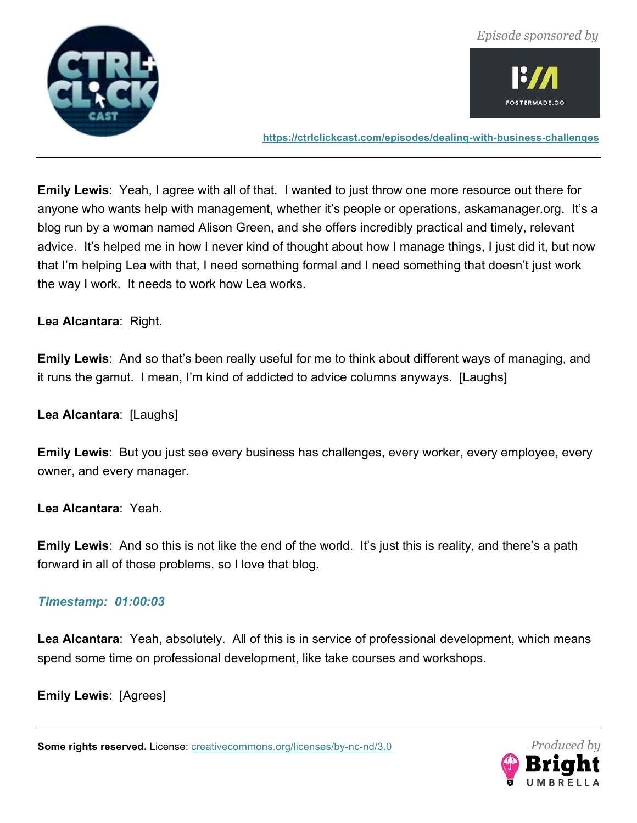![](_page_57_Picture_0.jpeg)

![](_page_57_Picture_2.jpeg)

**https://ctrlclickcast.com/episodes/dealing-with-business-challenges**

**Emily Lewis**: Yeah, I agree with all of that. I wanted to just throw one more resource out there for anyone who wants help with management, whether it's people or operations, askamanager.org. It's a blog run by a woman named Alison Green, and she offers incredibly practical and timely, relevant advice. It's helped me in how I never kind of thought about how I manage things, I just did it, but now that I'm helping Lea with that, I need something formal and I need something that doesn't just work the way I work. It needs to work how Lea works.

**Lea Alcantara**: Right.

**Emily Lewis**: And so that's been really useful for me to think about different ways of managing, and it runs the gamut. I mean, I'm kind of addicted to advice columns anyways. [Laughs]

**Lea Alcantara**: [Laughs]

**Emily Lewis**: But you just see every business has challenges, every worker, every employee, every owner, and every manager.

**Lea Alcantara**: Yeah.

**Emily Lewis**: And so this is not like the end of the world. It's just this is reality, and there's a path forward in all of those problems, so I love that blog.

#### *Timestamp: 01:00:03*

**Lea Alcantara**: Yeah, absolutely. All of this is in service of professional development, which means spend some time on professional development, like take courses and workshops.

**Emily Lewis**: [Agrees]

![](_page_57_Picture_15.jpeg)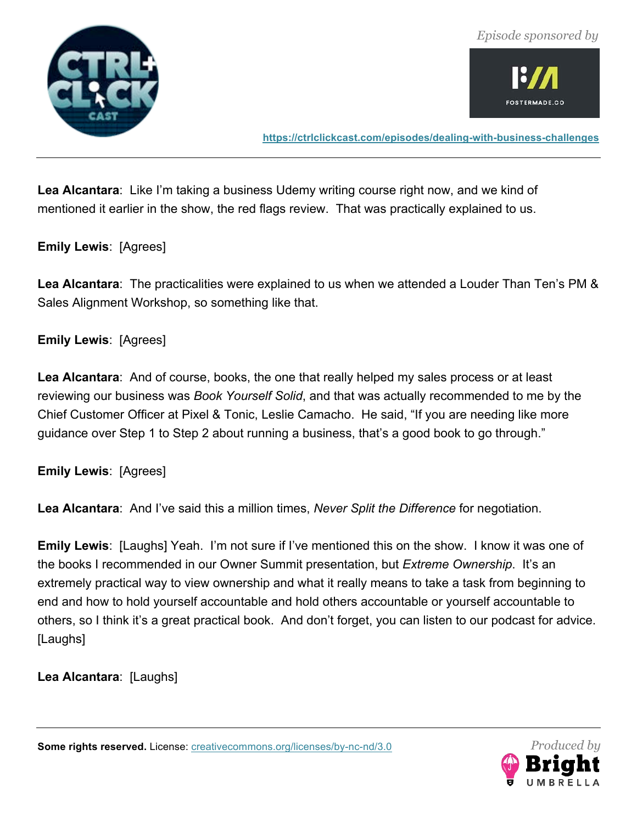![](_page_58_Picture_1.jpeg)

![](_page_58_Picture_2.jpeg)

**https://ctrlclickcast.com/episodes/dealing-with-business-challenges**

**Lea Alcantara**: Like I'm taking a business Udemy writing course right now, and we kind of mentioned it earlier in the show, the red flags review. That was practically explained to us.

#### **Emily Lewis**: [Agrees]

**Lea Alcantara**: The practicalities were explained to us when we attended a Louder Than Ten's PM & Sales Alignment Workshop, so something like that.

#### **Emily Lewis**: [Agrees]

**Lea Alcantara**: And of course, books, the one that really helped my sales process or at least reviewing our business was *Book Yourself Solid*, and that was actually recommended to me by the Chief Customer Officer at Pixel & Tonic, Leslie Camacho. He said, "If you are needing like more guidance over Step 1 to Step 2 about running a business, that's a good book to go through."

**Emily Lewis**: [Agrees]

**Lea Alcantara**: And I've said this a million times, *Never Split the Difference* for negotiation.

**Emily Lewis**: [Laughs] Yeah. I'm not sure if I've mentioned this on the show. I know it was one of the books I recommended in our Owner Summit presentation, but *Extreme Ownership*. It's an extremely practical way to view ownership and what it really means to take a task from beginning to end and how to hold yourself accountable and hold others accountable or yourself accountable to others, so I think it's a great practical book. And don't forget, you can listen to our podcast for advice. [Laughs]

**Lea Alcantara**: [Laughs]

![](_page_58_Picture_14.jpeg)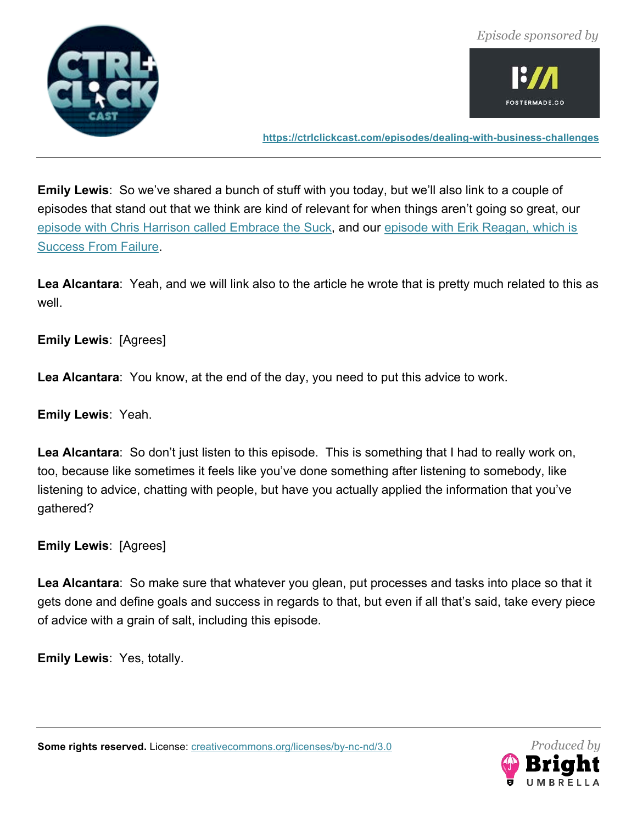![](_page_59_Picture_1.jpeg)

**https://ctrlclickcast.com/episodes/dealing-with-business-challenges**

**Emily Lewis**: So we've shared a bunch of stuff with you today, but we'll also link to a couple of episodes that stand out that we think are kind of relevant for when things aren't going so great, our episode with Chris Harrison called Embrace the Suck, and our episode with Erik Reagan, which is Success From Failure.

**Lea Alcantara**: Yeah, and we will link also to the article he wrote that is pretty much related to this as well.

**Emily Lewis**: [Agrees]

**Lea Alcantara**: You know, at the end of the day, you need to put this advice to work.

**Emily Lewis**: Yeah.

**Lea Alcantara**: So don't just listen to this episode. This is something that I had to really work on, too, because like sometimes it feels like you've done something after listening to somebody, like listening to advice, chatting with people, but have you actually applied the information that you've gathered?

**Emily Lewis**: [Agrees]

**Lea Alcantara**: So make sure that whatever you glean, put processes and tasks into place so that it gets done and define goals and success in regards to that, but even if all that's said, take every piece of advice with a grain of salt, including this episode.

**Emily Lewis**: Yes, totally.

![](_page_59_Picture_14.jpeg)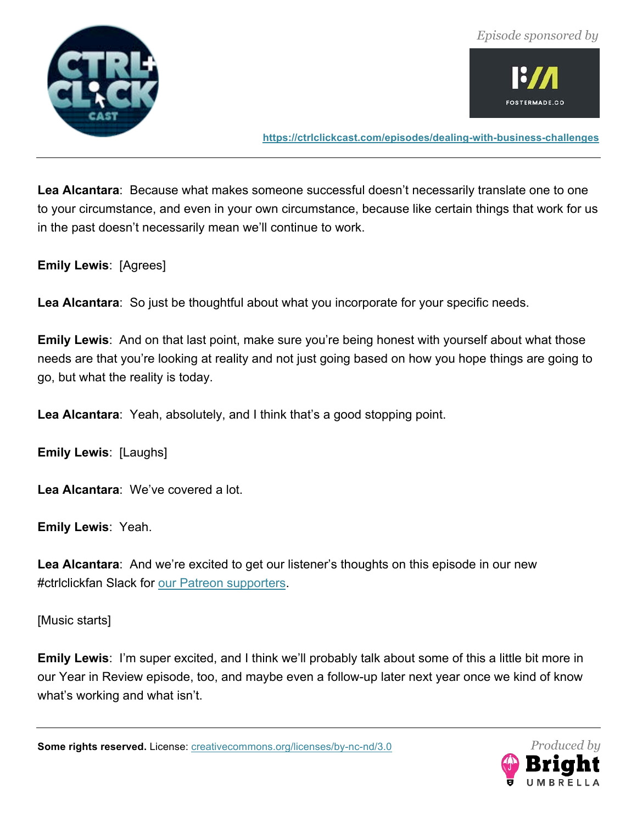![](_page_60_Picture_1.jpeg)

![](_page_60_Picture_2.jpeg)

**https://ctrlclickcast.com/episodes/dealing-with-business-challenges**

**Lea Alcantara**: Because what makes someone successful doesn't necessarily translate one to one to your circumstance, and even in your own circumstance, because like certain things that work for us in the past doesn't necessarily mean we'll continue to work.

**Emily Lewis**: [Agrees]

**Lea Alcantara**: So just be thoughtful about what you incorporate for your specific needs.

**Emily Lewis**: And on that last point, make sure you're being honest with yourself about what those needs are that you're looking at reality and not just going based on how you hope things are going to go, but what the reality is today.

**Lea Alcantara**: Yeah, absolutely, and I think that's a good stopping point.

**Emily Lewis**: [Laughs]

**Lea Alcantara**: We've covered a lot.

**Emily Lewis**: Yeah.

**Lea Alcantara**: And we're excited to get our listener's thoughts on this episode in our new #ctrlclickfan Slack for our Patreon supporters.

[Music starts]

**Emily Lewis**: I'm super excited, and I think we'll probably talk about some of this a little bit more in our Year in Review episode, too, and maybe even a follow-up later next year once we kind of know what's working and what isn't.

![](_page_60_Picture_16.jpeg)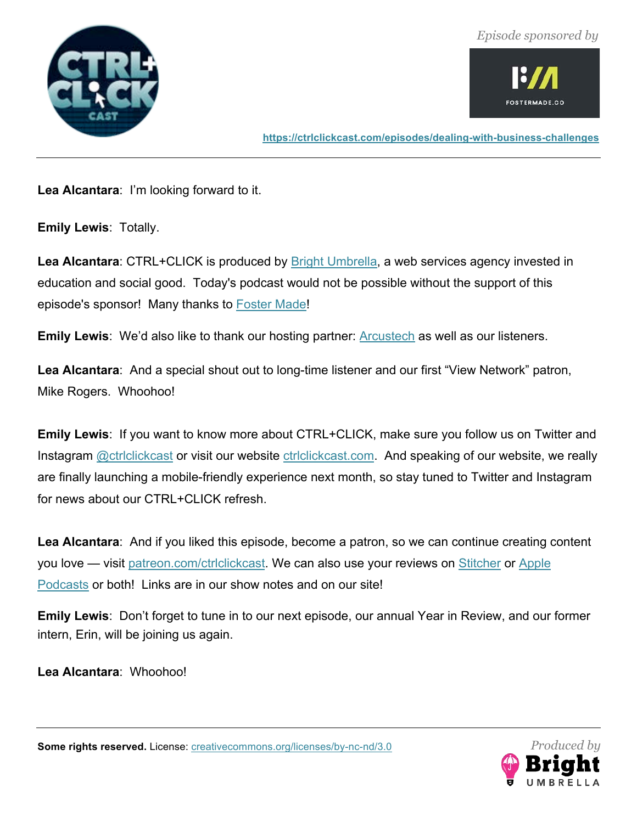![](_page_61_Picture_1.jpeg)

![](_page_61_Picture_2.jpeg)

**https://ctrlclickcast.com/episodes/dealing-with-business-challenges**

**Lea Alcantara**: I'm looking forward to it.

**Emily Lewis**: Totally.

Lea Alcantara: CTRL+CLICK is produced by **Bright Umbrella**, a web services agency invested in education and social good. Today's podcast would not be possible without the support of this episode's sponsor! Many thanks to Foster Made!

**Emily Lewis**: We'd also like to thank our hosting partner: **Arcustech** as well as our listeners.

**Lea Alcantara**: And a special shout out to long-time listener and our first "View Network" patron, Mike Rogers. Whoohoo!

**Emily Lewis**: If you want to know more about CTRL+CLICK, make sure you follow us on Twitter and Instagram **@ctriclickcast** or visit our website ctriclickcast.com. And speaking of our website, we really are finally launching a mobile-friendly experience next month, so stay tuned to Twitter and Instagram for news about our CTRL+CLICK refresh.

Lea Alcantara: And if you liked this episode, become a patron, so we can continue creating content you love — visit patreon.com/ctrlclickcast. We can also use your reviews on Stitcher or Apple Podcasts or both! Links are in our show notes and on our site!

**Emily Lewis**: Don't forget to tune in to our next episode, our annual Year in Review, and our former intern, Erin, will be joining us again.

**Lea Alcantara**: Whoohoo!

![](_page_61_Picture_14.jpeg)